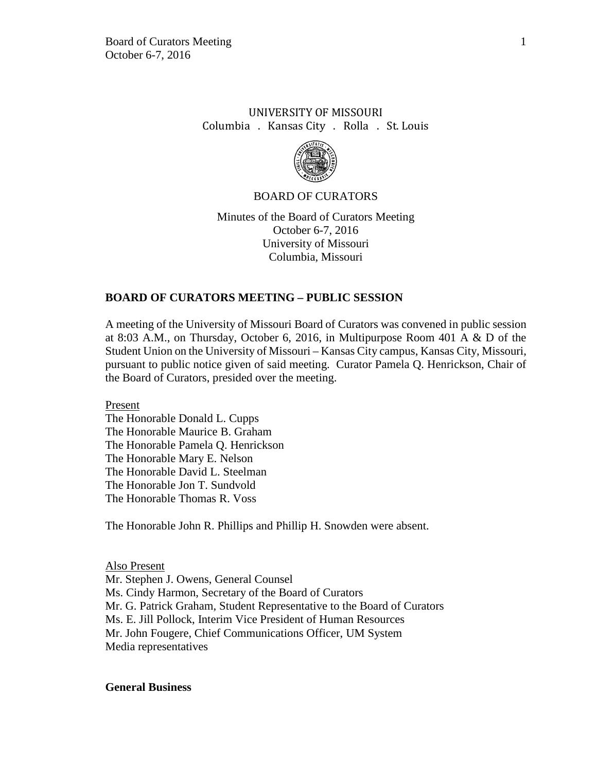# UNIVERSITY OF MISSOURI Columbia . Kansas City . Rolla . St. Louis



## BOARD OF CURATORS

Minutes of the Board of Curators Meeting October 6-7, 2016 University of Missouri Columbia, Missouri

## **BOARD OF CURATORS MEETING – PUBLIC SESSION**

A meeting of the University of Missouri Board of Curators was convened in public session at 8:03 A.M., on Thursday, October 6, 2016, in Multipurpose Room 401 A & D of the Student Union on the University of Missouri – Kansas City campus, Kansas City, Missouri, pursuant to public notice given of said meeting. Curator Pamela Q. Henrickson, Chair of the Board of Curators, presided over the meeting.

Present The Honorable Donald L. Cupps The Honorable Maurice B. Graham The Honorable Pamela Q. Henrickson The Honorable Mary E. Nelson The Honorable David L. Steelman The Honorable Jon T. Sundvold The Honorable Thomas R. Voss

The Honorable John R. Phillips and Phillip H. Snowden were absent.

Also Present

Mr. Stephen J. Owens, General Counsel Ms. Cindy Harmon, Secretary of the Board of Curators Mr. G. Patrick Graham, Student Representative to the Board of Curators Ms. E. Jill Pollock, Interim Vice President of Human Resources Mr. John Fougere, Chief Communications Officer, UM System Media representatives

#### **General Business**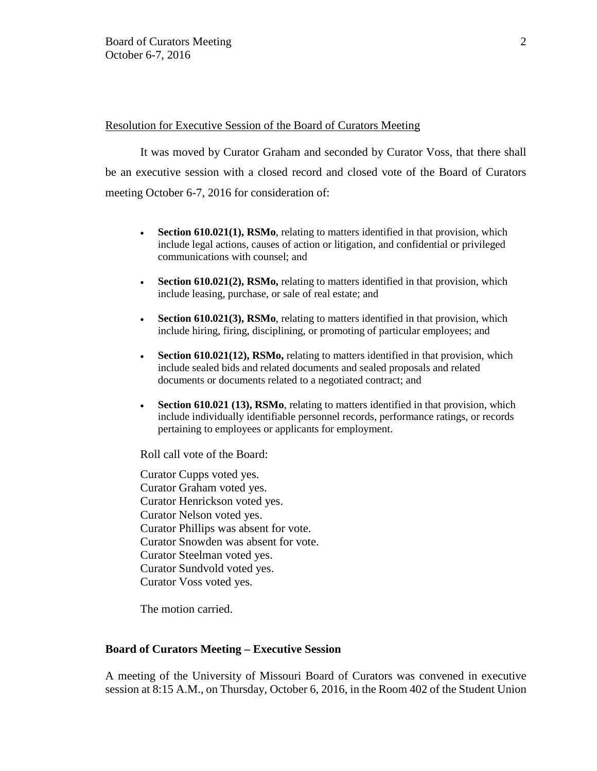## Resolution for Executive Session of the Board of Curators Meeting

It was moved by Curator Graham and seconded by Curator Voss, that there shall be an executive session with a closed record and closed vote of the Board of Curators meeting October 6-7, 2016 for consideration of:

- **Section 610.021(1), RSMo**, relating to matters identified in that provision, which include legal actions, causes of action or litigation, and confidential or privileged communications with counsel; and
- **Section 610.021(2), RSMo,** relating to matters identified in that provision, which include leasing, purchase, or sale of real estate; and
- **Section 610.021(3), RSMo**, relating to matters identified in that provision, which include hiring, firing, disciplining, or promoting of particular employees; and
- **Section 610.021(12), RSMo,** relating to matters identified in that provision, which include sealed bids and related documents and sealed proposals and related documents or documents related to a negotiated contract; and
- **Section 610.021 (13), RSMo**, relating to matters identified in that provision, which include individually identifiable personnel records, performance ratings, or records pertaining to employees or applicants for employment.

Roll call vote of the Board:

Curator Cupps voted yes. Curator Graham voted yes. Curator Henrickson voted yes. Curator Nelson voted yes. Curator Phillips was absent for vote. Curator Snowden was absent for vote. Curator Steelman voted yes. Curator Sundvold voted yes. Curator Voss voted yes.

The motion carried.

#### **Board of Curators Meeting – Executive Session**

A meeting of the University of Missouri Board of Curators was convened in executive session at 8:15 A.M., on Thursday, October 6, 2016, in the Room 402 of the Student Union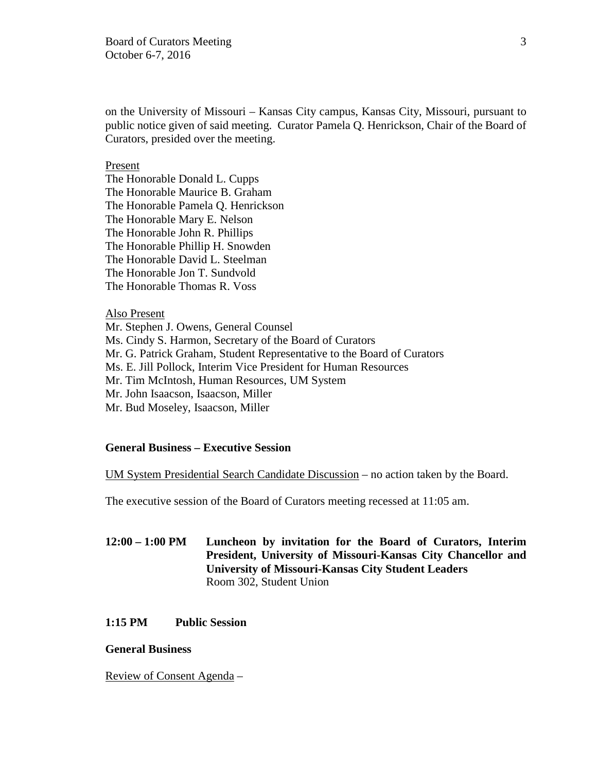on the University of Missouri – Kansas City campus, Kansas City, Missouri, pursuant to public notice given of said meeting. Curator Pamela Q. Henrickson, Chair of the Board of Curators, presided over the meeting.

## Present

The Honorable Donald L. Cupps The Honorable Maurice B. Graham The Honorable Pamela Q. Henrickson The Honorable Mary E. Nelson The Honorable John R. Phillips The Honorable Phillip H. Snowden The Honorable David L. Steelman The Honorable Jon T. Sundvold The Honorable Thomas R. Voss

#### Also Present

Mr. Stephen J. Owens, General Counsel Ms. Cindy S. Harmon, Secretary of the Board of Curators Mr. G. Patrick Graham, Student Representative to the Board of Curators Ms. E. Jill Pollock, Interim Vice President for Human Resources Mr. Tim McIntosh, Human Resources, UM System Mr. John Isaacson, Isaacson, Miller Mr. Bud Moseley, Isaacson, Miller

# **General Business – Executive Session**

UM System Presidential Search Candidate Discussion – no action taken by the Board.

The executive session of the Board of Curators meeting recessed at 11:05 am.

**12:00 – 1:00 PM Luncheon by invitation for the Board of Curators, Interim President, University of Missouri-Kansas City Chancellor and University of Missouri-Kansas City Student Leaders** Room 302, Student Union

# **1:15 PM Public Session**

## **General Business**

Review of Consent Agenda –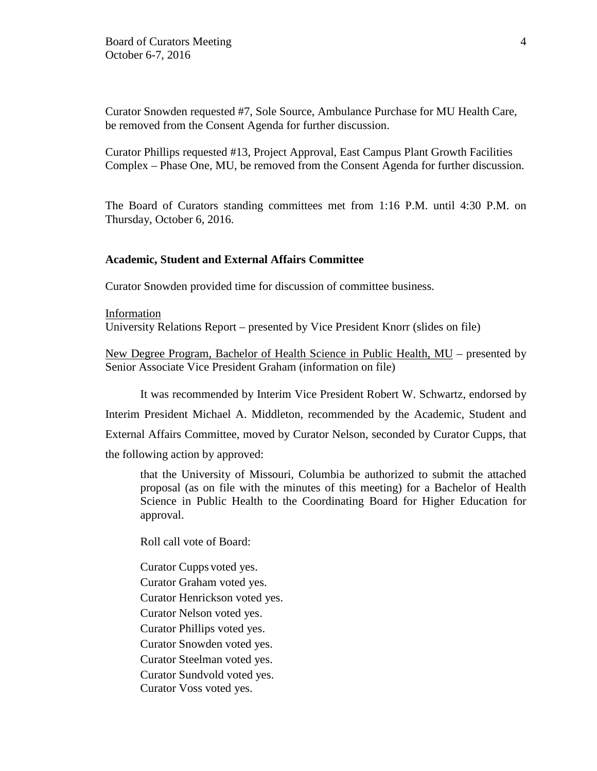Curator Snowden requested #7, Sole Source, Ambulance Purchase for MU Health Care, be removed from the Consent Agenda for further discussion.

Curator Phillips requested #13, Project Approval, East Campus Plant Growth Facilities Complex – Phase One, MU, be removed from the Consent Agenda for further discussion.

The Board of Curators standing committees met from 1:16 P.M. until 4:30 P.M. on Thursday, October 6, 2016.

#### **Academic, Student and External Affairs Committee**

Curator Snowden provided time for discussion of committee business.

Information University Relations Report – presented by Vice President Knorr (slides on file)

New Degree Program, Bachelor of Health Science in Public Health, MU – presented by Senior Associate Vice President Graham (information on file)

It was recommended by Interim Vice President Robert W. Schwartz, endorsed by

Interim President Michael A. Middleton, recommended by the Academic, Student and

External Affairs Committee, moved by Curator Nelson, seconded by Curator Cupps, that

the following action by approved:

that the University of Missouri, Columbia be authorized to submit the attached proposal (as on file with the minutes of this meeting) for a Bachelor of Health Science in Public Health to the Coordinating Board for Higher Education for approval.

Roll call vote of Board:

Curator Cupps voted yes. Curator Graham voted yes. Curator Henrickson voted yes. Curator Nelson voted yes. Curator Phillips voted yes. Curator Snowden voted yes. Curator Steelman voted yes. Curator Sundvold voted yes. Curator Voss voted yes.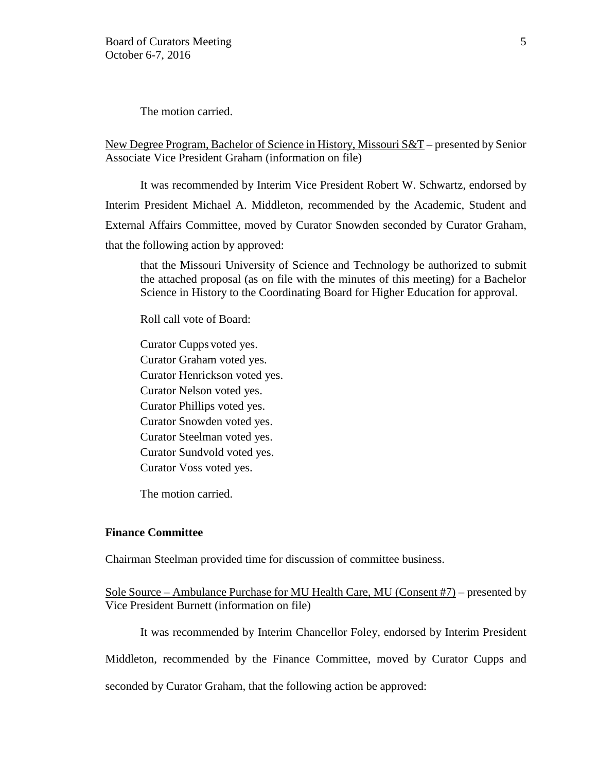The motion carried.

New Degree Program, Bachelor of Science in History, Missouri S&T – presented by Senior Associate Vice President Graham (information on file)

It was recommended by Interim Vice President Robert W. Schwartz, endorsed by Interim President Michael A. Middleton, recommended by the Academic, Student and External Affairs Committee, moved by Curator Snowden seconded by Curator Graham, that the following action by approved:

that the Missouri University of Science and Technology be authorized to submit the attached proposal (as on file with the minutes of this meeting) for a Bachelor Science in History to the Coordinating Board for Higher Education for approval.

Roll call vote of Board:

Curator Cupps voted yes. Curator Graham voted yes. Curator Henrickson voted yes. Curator Nelson voted yes. Curator Phillips voted yes. Curator Snowden voted yes. Curator Steelman voted yes. Curator Sundvold voted yes. Curator Voss voted yes.

The motion carried.

## **Finance Committee**

Chairman Steelman provided time for discussion of committee business.

Sole Source – Ambulance Purchase for MU Health Care, MU (Consent #7) – presented by Vice President Burnett (information on file)

It was recommended by Interim Chancellor Foley, endorsed by Interim President

Middleton, recommended by the Finance Committee, moved by Curator Cupps and

seconded by Curator Graham, that the following action be approved: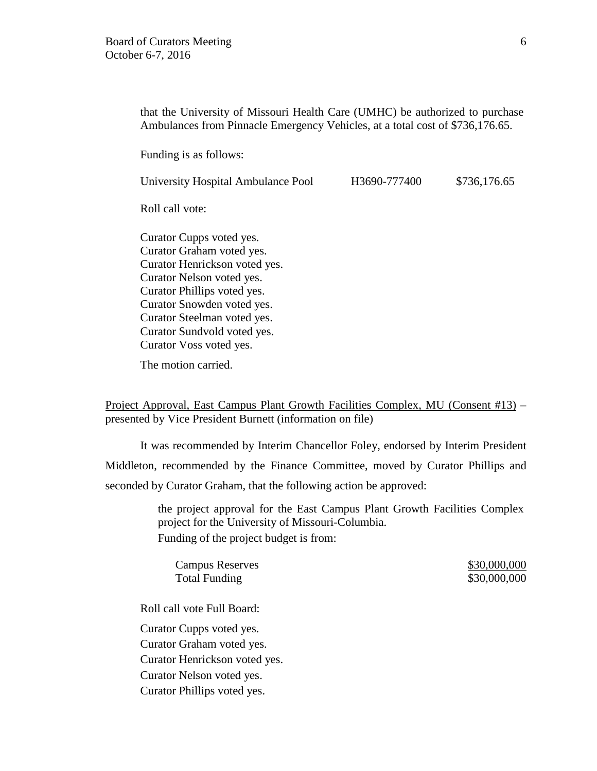that the University of Missouri Health Care (UMHC) be authorized to purchase Ambulances from Pinnacle Emergency Vehicles, at a total cost of \$736,176.65.

Funding is as follows:

University Hospital Ambulance Pool H3690-777400 \$736,176.65

Roll call vote:

Curator Cupps voted yes. Curator Graham voted yes. Curator Henrickson voted yes. Curator Nelson voted yes. Curator Phillips voted yes. Curator Snowden voted yes. Curator Steelman voted yes. Curator Sundvold voted yes. Curator Voss voted yes.

The motion carried.

Project Approval, East Campus Plant Growth Facilities Complex, MU (Consent #13) – presented by Vice President Burnett (information on file)

It was recommended by Interim Chancellor Foley, endorsed by Interim President Middleton, recommended by the Finance Committee, moved by Curator Phillips and seconded by Curator Graham, that the following action be approved:

> the project approval for the East Campus Plant Growth Facilities Complex project for the University of Missouri-Columbia. Funding of the project budget is from:

Campus Reserves  $$30,000,000$ Total Funding \$30,000,000 \$30,000,000

Roll call vote Full Board:

Curator Cupps voted yes. Curator Graham voted yes. Curator Henrickson voted yes. Curator Nelson voted yes. Curator Phillips voted yes.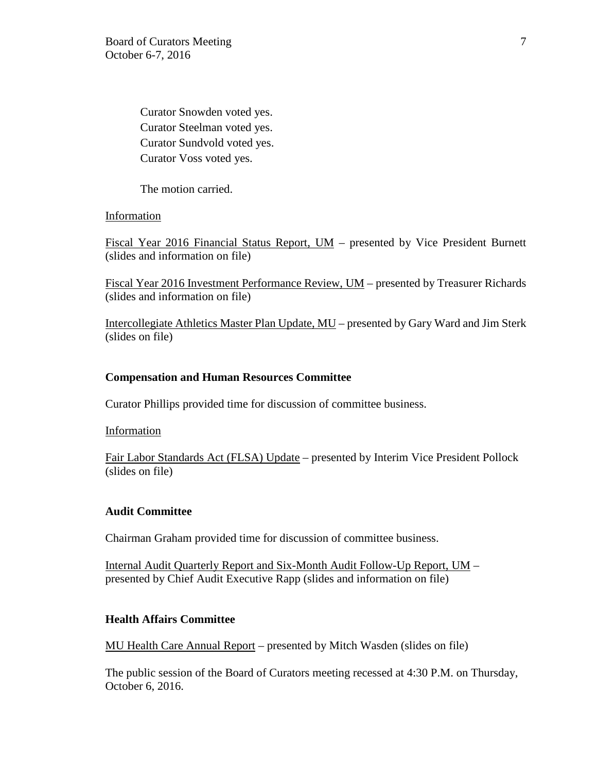Curator Snowden voted yes. Curator Steelman voted yes. Curator Sundvold voted yes. Curator Voss voted yes.

The motion carried.

Information

Fiscal Year 2016 Financial Status Report, UM - presented by Vice President Burnett (slides and information on file)

Fiscal Year 2016 Investment Performance Review, UM – presented by Treasurer Richards (slides and information on file)

Intercollegiate Athletics Master Plan Update, MU – presented by Gary Ward and Jim Sterk (slides on file)

# **Compensation and Human Resources Committee**

Curator Phillips provided time for discussion of committee business.

Information

Fair Labor Standards Act (FLSA) Update – presented by Interim Vice President Pollock (slides on file)

# **Audit Committee**

Chairman Graham provided time for discussion of committee business.

Internal Audit Quarterly Report and Six-Month Audit Follow-Up Report, UM – presented by Chief Audit Executive Rapp (slides and information on file)

# **Health Affairs Committee**

MU Health Care Annual Report – presented by Mitch Wasden (slides on file)

The public session of the Board of Curators meeting recessed at 4:30 P.M. on Thursday, October 6, 2016.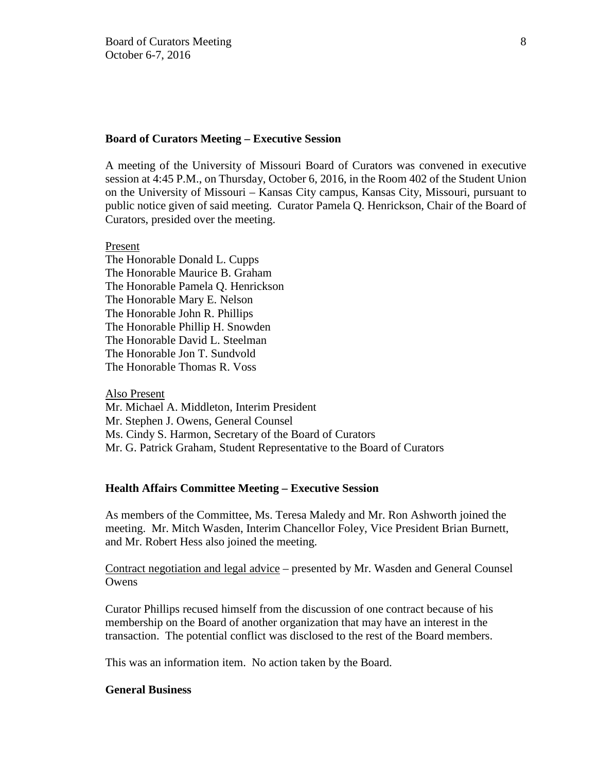### **Board of Curators Meeting – Executive Session**

A meeting of the University of Missouri Board of Curators was convened in executive session at 4:45 P.M., on Thursday, October 6, 2016, in the Room 402 of the Student Union on the University of Missouri – Kansas City campus, Kansas City, Missouri, pursuant to public notice given of said meeting. Curator Pamela Q. Henrickson, Chair of the Board of Curators, presided over the meeting.

#### Present

The Honorable Donald L. Cupps The Honorable Maurice B. Graham The Honorable Pamela Q. Henrickson The Honorable Mary E. Nelson The Honorable John R. Phillips The Honorable Phillip H. Snowden The Honorable David L. Steelman The Honorable Jon T. Sundvold The Honorable Thomas R. Voss

## Also Present

Mr. Michael A. Middleton, Interim President Mr. Stephen J. Owens, General Counsel Ms. Cindy S. Harmon, Secretary of the Board of Curators Mr. G. Patrick Graham, Student Representative to the Board of Curators

## **Health Affairs Committee Meeting – Executive Session**

As members of the Committee, Ms. Teresa Maledy and Mr. Ron Ashworth joined the meeting. Mr. Mitch Wasden, Interim Chancellor Foley, Vice President Brian Burnett, and Mr. Robert Hess also joined the meeting.

Contract negotiation and legal advice – presented by Mr. Wasden and General Counsel **Owens** 

Curator Phillips recused himself from the discussion of one contract because of his membership on the Board of another organization that may have an interest in the transaction. The potential conflict was disclosed to the rest of the Board members.

This was an information item. No action taken by the Board.

## **General Business**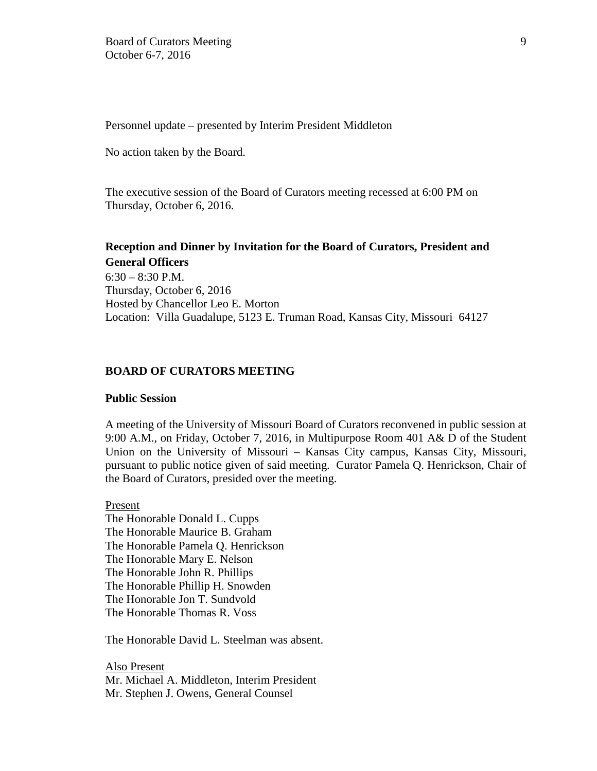Personnel update – presented by Interim President Middleton

No action taken by the Board.

The executive session of the Board of Curators meeting recessed at 6:00 PM on Thursday, October 6, 2016.

# **Reception and Dinner by Invitation for the Board of Curators, President and General Officers**

 $6:30 - 8:30$  P.M. Thursday, October 6, 2016 Hosted by Chancellor Leo E. Morton Location: Villa Guadalupe, 5123 E. Truman Road, Kansas City, Missouri 64127

## **BOARD OF CURATORS MEETING**

#### **Public Session**

A meeting of the University of Missouri Board of Curators reconvened in public session at 9:00 A.M., on Friday, October 7, 2016, in Multipurpose Room 401 A& D of the Student Union on the University of Missouri – Kansas City campus, Kansas City, Missouri, pursuant to public notice given of said meeting. Curator Pamela Q. Henrickson, Chair of the Board of Curators, presided over the meeting.

Present The Honorable Donald L. Cupps The Honorable Maurice B. Graham The Honorable Pamela Q. Henrickson The Honorable Mary E. Nelson The Honorable John R. Phillips The Honorable Phillip H. Snowden The Honorable Jon T. Sundvold The Honorable Thomas R. Voss

The Honorable David L. Steelman was absent.

Also Present Mr. Michael A. Middleton, Interim President Mr. Stephen J. Owens, General Counsel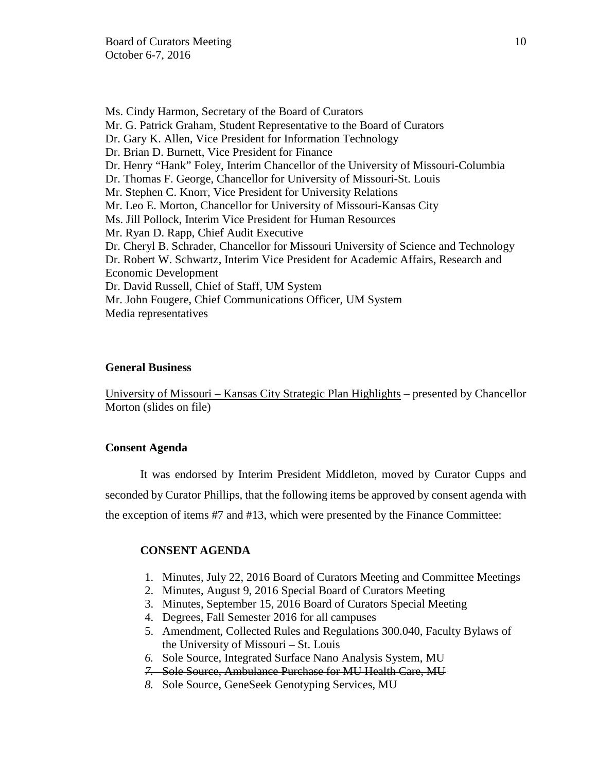Ms. Cindy Harmon, Secretary of the Board of Curators Mr. G. Patrick Graham, Student Representative to the Board of Curators Dr. Gary K. Allen, Vice President for Information Technology Dr. Brian D. Burnett, Vice President for Finance Dr. Henry "Hank" Foley, Interim Chancellor of the University of Missouri-Columbia Dr. Thomas F. George, Chancellor for University of Missouri-St. Louis Mr. Stephen C. Knorr, Vice President for University Relations Mr. Leo E. Morton, Chancellor for University of Missouri-Kansas City Ms. Jill Pollock, Interim Vice President for Human Resources Mr. Ryan D. Rapp, Chief Audit Executive Dr. Cheryl B. Schrader, Chancellor for Missouri University of Science and Technology Dr. Robert W. Schwartz, Interim Vice President for Academic Affairs, Research and Economic Development Dr. David Russell, Chief of Staff, UM System Mr. John Fougere, Chief Communications Officer, UM System Media representatives

## **General Business**

University of Missouri – Kansas City Strategic Plan Highlights – presented by Chancellor Morton (slides on file)

## **Consent Agenda**

It was endorsed by Interim President Middleton, moved by Curator Cupps and seconded by Curator Phillips, that the following items be approved by consent agenda with the exception of items #7 and #13, which were presented by the Finance Committee:

#### **CONSENT AGENDA**

- 1. Minutes, July 22, 2016 Board of Curators Meeting and Committee Meetings
- 2. Minutes, August 9, 2016 Special Board of Curators Meeting
- 3. Minutes, September 15, 2016 Board of Curators Special Meeting
- 4. Degrees, Fall Semester 2016 for all campuses
- 5. Amendment, Collected Rules and Regulations 300.040, Faculty Bylaws of the University of Missouri – St. Louis
- *6.* Sole Source, Integrated Surface Nano Analysis System, MU
- *7.* Sole Source, Ambulance Purchase for MU Health Care, MU
- *8.* Sole Source, GeneSeek Genotyping Services, MU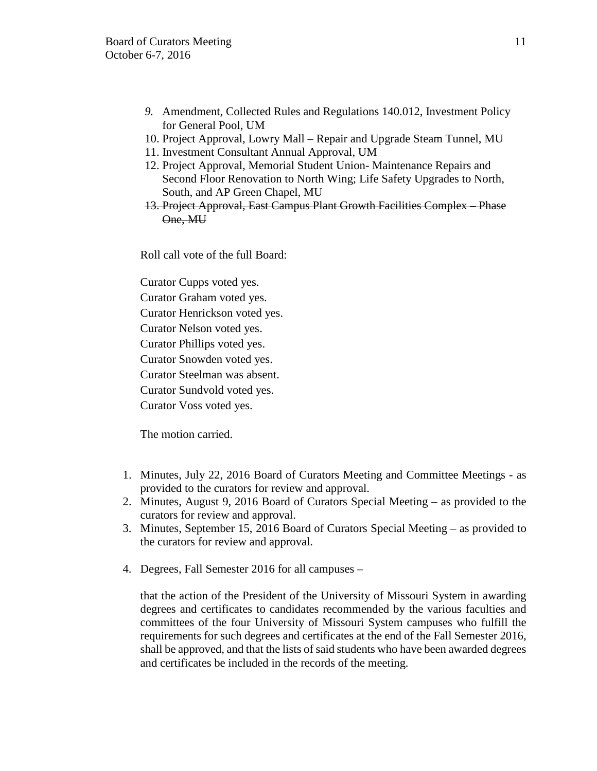- *9.* Amendment, Collected Rules and Regulations 140.012, Investment Policy for General Pool, UM
- 10. Project Approval, Lowry Mall Repair and Upgrade Steam Tunnel, MU
- 11. Investment Consultant Annual Approval, UM
- 12. Project Approval, Memorial Student Union- Maintenance Repairs and Second Floor Renovation to North Wing; Life Safety Upgrades to North, South, and AP Green Chapel, MU
- 13. Project Approval, East Campus Plant Growth Facilities Complex Phase One, MU

Roll call vote of the full Board:

Curator Cupps voted yes.

Curator Graham voted yes.

Curator Henrickson voted yes.

Curator Nelson voted yes.

Curator Phillips voted yes.

Curator Snowden voted yes.

Curator Steelman was absent.

Curator Sundvold voted yes.

Curator Voss voted yes.

The motion carried.

- 1. Minutes, July 22, 2016 Board of Curators Meeting and Committee Meetings as provided to the curators for review and approval.
- 2. Minutes, August 9, 2016 Board of Curators Special Meeting as provided to the curators for review and approval.
- 3. Minutes, September 15, 2016 Board of Curators Special Meeting as provided to the curators for review and approval.
- 4. Degrees, Fall Semester 2016 for all campuses –

that the action of the President of the University of Missouri System in awarding degrees and certificates to candidates recommended by the various faculties and committees of the four University of Missouri System campuses who fulfill the requirements for such degrees and certificates at the end of the Fall Semester 2016, shall be approved, and that the lists of said students who have been awarded degrees and certificates be included in the records of the meeting.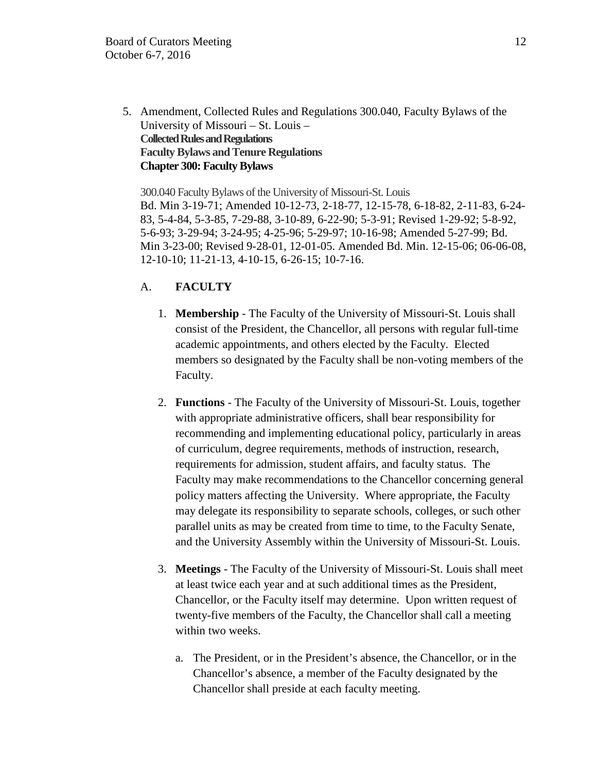5. Amendment, Collected Rules and Regulations 300.040, Faculty Bylaws of the University of Missouri – St. Louis – **Collected Rules and Regulations Faculty Bylaws and Tenure Regulations Chapter 300: Faculty Bylaws**

300.040 Faculty Bylaws of the University of Missouri-St. Louis Bd. Min 3-19-71; Amended 10-12-73, 2-18-77, 12-15-78, 6-18-82, 2-11-83, 6-24- 83, 5-4-84, 5-3-85, 7-29-88, 3-10-89, 6-22-90; 5-3-91; Revised 1-29-92; 5-8-92, 5-6-93; 3-29-94; 3-24-95; 4-25-96; 5-29-97; 10-16-98; Amended 5-27-99; Bd. Min 3-23-00; Revised 9-28-01, 12-01-05. Amended Bd. Min. 12-15-06; 06-06-08, 12-10-10; 11-21-13, 4-10-15, 6-26-15; 10-7-16.

# A. **FACULTY**

- 1. **Membership** The Faculty of the University of Missouri-St. Louis shall consist of the President, the Chancellor, all persons with regular full-time academic appointments, and others elected by the Faculty. Elected members so designated by the Faculty shall be non-voting members of the Faculty.
- 2. **Functions** The Faculty of the University of Missouri-St. Louis, together with appropriate administrative officers, shall bear responsibility for recommending and implementing educational policy, particularly in areas of curriculum, degree requirements, methods of instruction, research, requirements for admission, student affairs, and faculty status. The Faculty may make recommendations to the Chancellor concerning general policy matters affecting the University. Where appropriate, the Faculty may delegate its responsibility to separate schools, colleges, or such other parallel units as may be created from time to time, to the Faculty Senate, and the University Assembly within the University of Missouri-St. Louis.
- 3. **Meetings** The Faculty of the University of Missouri-St. Louis shall meet at least twice each year and at such additional times as the President, Chancellor, or the Faculty itself may determine. Upon written request of twenty-five members of the Faculty, the Chancellor shall call a meeting within two weeks.
	- a. The President, or in the President's absence, the Chancellor, or in the Chancellor's absence, a member of the Faculty designated by the Chancellor shall preside at each faculty meeting.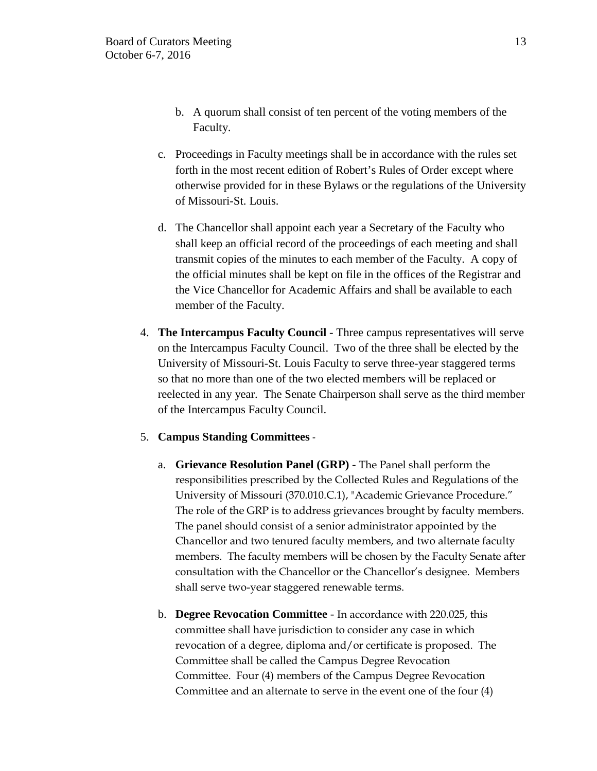- b. A quorum shall consist of ten percent of the voting members of the Faculty.
- c. Proceedings in Faculty meetings shall be in accordance with the rules set forth in the most recent edition of Robert's Rules of Order except where otherwise provided for in these Bylaws or the regulations of the University of Missouri-St. Louis.
- d. The Chancellor shall appoint each year a Secretary of the Faculty who shall keep an official record of the proceedings of each meeting and shall transmit copies of the minutes to each member of the Faculty. A copy of the official minutes shall be kept on file in the offices of the Registrar and the Vice Chancellor for Academic Affairs and shall be available to each member of the Faculty.
- 4. **The Intercampus Faculty Council** Three campus representatives will serve on the Intercampus Faculty Council. Two of the three shall be elected by the University of Missouri-St. Louis Faculty to serve three-year staggered terms so that no more than one of the two elected members will be replaced or reelected in any year. The Senate Chairperson shall serve as the third member of the Intercampus Faculty Council.
- 5. **Campus Standing Committees**
	- a. **Grievance Resolution Panel (GRP)** The Panel shall perform the responsibilities prescribed by the Collected Rules and Regulations of the University of Missouri (370.010.C.1), "Academic Grievance Procedure." The role of the GRP is to address grievances brought by faculty members. The panel should consist of a senior administrator appointed by the Chancellor and two tenured faculty members, and two alternate faculty members. The faculty members will be chosen by the Faculty Senate after consultation with the Chancellor or the Chancellor's designee. Members shall serve two-year staggered renewable terms.
	- b. **Degree Revocation Committee**  In accordance with 220.025, this committee shall have jurisdiction to consider any case in which revocation of a degree, diploma and/or certificate is proposed. The Committee shall be called the Campus Degree Revocation Committee. Four (4) members of the Campus Degree Revocation Committee and an alternate to serve in the event one of the four (4)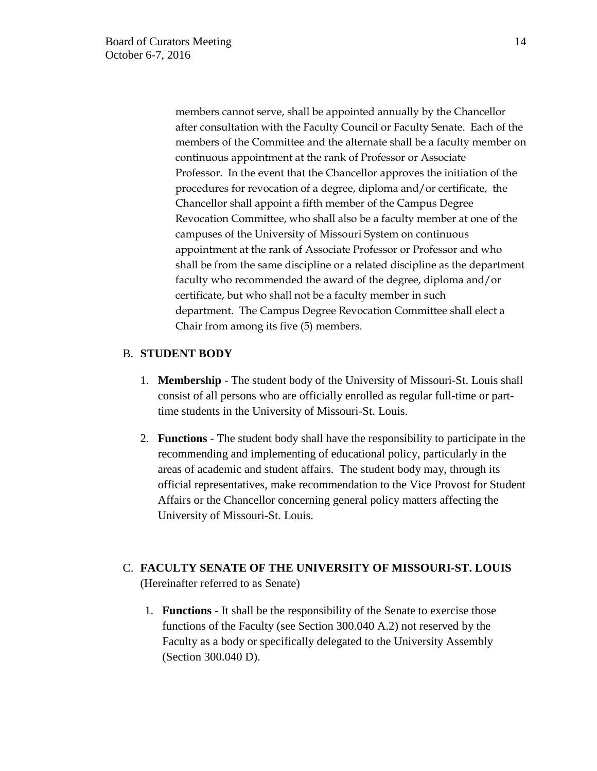members cannot serve, shall be appointed annually by the Chancellor after consultation with the Faculty Council or Faculty Senate. Each of the members of the Committee and the alternate shall be a faculty member on continuous appointment at the rank of Professor or Associate Professor. In the event that the Chancellor approves the initiation of the procedures for revocation of a degree, diploma and/or certificate, the Chancellor shall appoint a fifth member of the Campus Degree Revocation Committee, who shall also be a faculty member at one of the campuses of the University of Missouri System on continuous appointment at the rank of Associate Professor or Professor and who shall be from the same discipline or a related discipline as the department faculty who recommended the award of the degree, diploma and/or certificate, but who shall not be a faculty member in such department. The Campus Degree Revocation Committee shall elect a Chair from among its five (5) members.

# B. **STUDENT BODY**

- 1. **Membership** The student body of the University of Missouri-St. Louis shall consist of all persons who are officially enrolled as regular full-time or parttime students in the University of Missouri-St. Louis.
- 2. **Functions** The student body shall have the responsibility to participate in the recommending and implementing of educational policy, particularly in the areas of academic and student affairs. The student body may, through its official representatives, make recommendation to the Vice Provost for Student Affairs or the Chancellor concerning general policy matters affecting the University of Missouri-St. Louis.

# C. **FACULTY SENATE OF THE UNIVERSITY OF MISSOURI-ST. LOUIS** (Hereinafter referred to as Senate)

1. **Functions** - It shall be the responsibility of the Senate to exercise those functions of the Faculty (see Section 300.040 A.2) not reserved by the Faculty as a body or specifically delegated to the University Assembly (Section 300.040 D).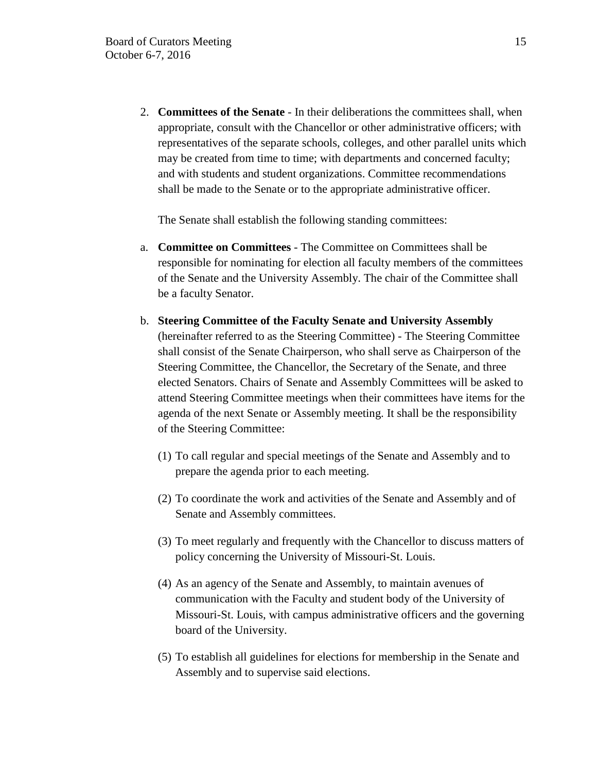2. **Committees of the Senate** - In their deliberations the committees shall, when appropriate, consult with the Chancellor or other administrative officers; with representatives of the separate schools, colleges, and other parallel units which may be created from time to time; with departments and concerned faculty; and with students and student organizations. Committee recommendations shall be made to the Senate or to the appropriate administrative officer.

The Senate shall establish the following standing committees:

- a. **Committee on Committees** The Committee on Committees shall be responsible for nominating for election all faculty members of the committees of the Senate and the University Assembly. The chair of the Committee shall be a faculty Senator.
- b. **Steering Committee of the Faculty Senate and University Assembly** (hereinafter referred to as the Steering Committee) - The Steering Committee shall consist of the Senate Chairperson, who shall serve as Chairperson of the Steering Committee, the Chancellor, the Secretary of the Senate, and three elected Senators. Chairs of Senate and Assembly Committees will be asked to attend Steering Committee meetings when their committees have items for the agenda of the next Senate or Assembly meeting. It shall be the responsibility of the Steering Committee:
	- (1) To call regular and special meetings of the Senate and Assembly and to prepare the agenda prior to each meeting.
	- (2) To coordinate the work and activities of the Senate and Assembly and of Senate and Assembly committees.
	- (3) To meet regularly and frequently with the Chancellor to discuss matters of policy concerning the University of Missouri-St. Louis.
	- (4) As an agency of the Senate and Assembly, to maintain avenues of communication with the Faculty and student body of the University of Missouri-St. Louis, with campus administrative officers and the governing board of the University.
	- (5) To establish all guidelines for elections for membership in the Senate and Assembly and to supervise said elections.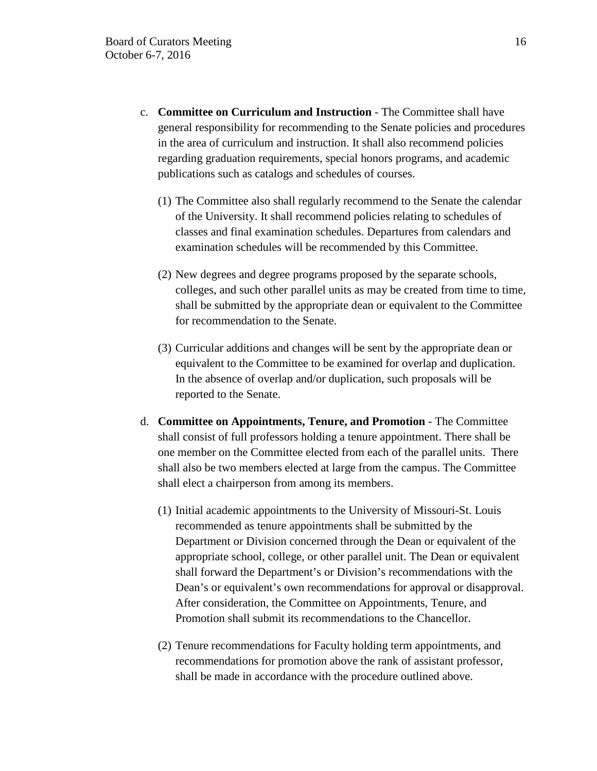- c. **Committee on Curriculum and Instruction** The Committee shall have general responsibility for recommending to the Senate policies and procedures in the area of curriculum and instruction. It shall also recommend policies regarding graduation requirements, special honors programs, and academic publications such as catalogs and schedules of courses.
	- (1) The Committee also shall regularly recommend to the Senate the calendar of the University. It shall recommend policies relating to schedules of classes and final examination schedules. Departures from calendars and examination schedules will be recommended by this Committee.
	- (2) New degrees and degree programs proposed by the separate schools, colleges, and such other parallel units as may be created from time to time, shall be submitted by the appropriate dean or equivalent to the Committee for recommendation to the Senate.
	- (3) Curricular additions and changes will be sent by the appropriate dean or equivalent to the Committee to be examined for overlap and duplication. In the absence of overlap and/or duplication, such proposals will be reported to the Senate.
- d. **Committee on Appointments, Tenure, and Promotion** The Committee shall consist of full professors holding a tenure appointment. There shall be one member on the Committee elected from each of the parallel units. There shall also be two members elected at large from the campus. The Committee shall elect a chairperson from among its members.
	- (1) Initial academic appointments to the University of Missouri-St. Louis recommended as tenure appointments shall be submitted by the Department or Division concerned through the Dean or equivalent of the appropriate school, college, or other parallel unit. The Dean or equivalent shall forward the Department's or Division's recommendations with the Dean's or equivalent's own recommendations for approval or disapproval. After consideration, the Committee on Appointments, Tenure, and Promotion shall submit its recommendations to the Chancellor.
	- (2) Tenure recommendations for Faculty holding term appointments, and recommendations for promotion above the rank of assistant professor, shall be made in accordance with the procedure outlined above.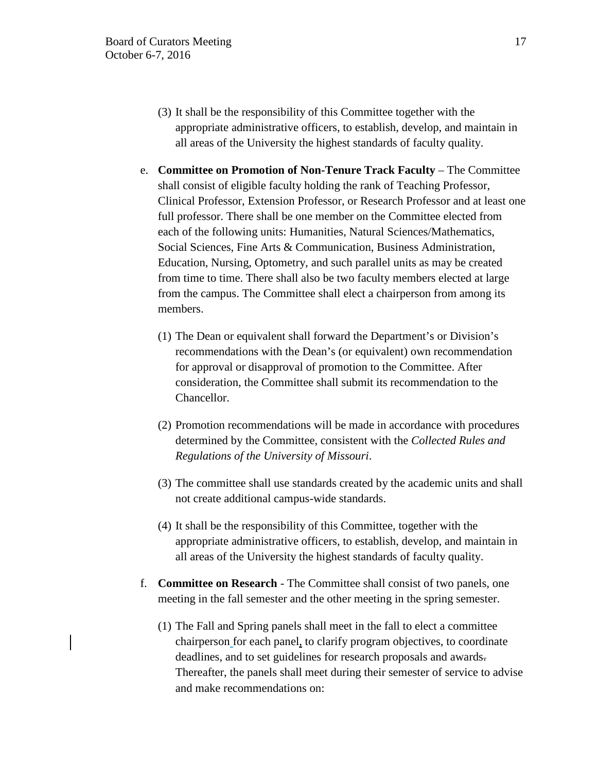- (3) It shall be the responsibility of this Committee together with the appropriate administrative officers, to establish, develop, and maintain in all areas of the University the highest standards of faculty quality.
- e. **Committee on Promotion of Non-Tenure Track Faculty** The Committee shall consist of eligible faculty holding the rank of Teaching Professor, Clinical Professor, Extension Professor, or Research Professor and at least one full professor. There shall be one member on the Committee elected from each of the following units: Humanities, Natural Sciences/Mathematics, Social Sciences, Fine Arts & Communication, Business Administration, Education, Nursing, Optometry, and such parallel units as may be created from time to time. There shall also be two faculty members elected at large from the campus. The Committee shall elect a chairperson from among its members.
	- (1) The Dean or equivalent shall forward the Department's or Division's recommendations with the Dean's (or equivalent) own recommendation for approval or disapproval of promotion to the Committee. After consideration, the Committee shall submit its recommendation to the Chancellor.
	- (2) Promotion recommendations will be made in accordance with procedures determined by the Committee, consistent with the *Collected Rules and Regulations of the University of Missouri*.
	- (3) The committee shall use standards created by the academic units and shall not create additional campus-wide standards.
	- (4) It shall be the responsibility of this Committee, together with the appropriate administrative officers, to establish, develop, and maintain in all areas of the University the highest standards of faculty quality.
- f. **Committee on Research** The Committee shall consist of two panels, one meeting in the fall semester and the other meeting in the spring semester.
	- (1) The Fall and Spring panels shall meet in the fall to elect a committee chairperson for each panel, to clarify program objectives, to coordinate deadlines, and to set guidelines for research proposals and awards. Thereafter, the panels shall meet during their semester of service to advise and make recommendations on: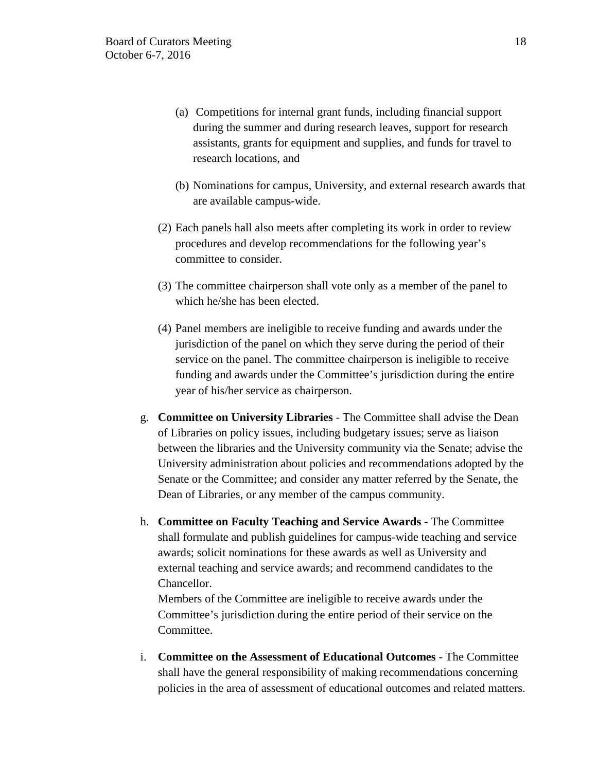- (a) Competitions for internal grant funds, including financial support during the summer and during research leaves, support for research assistants, grants for equipment and supplies, and funds for travel to research locations, and
- (b) Nominations for campus, University, and external research awards that are available campus-wide.
- (2) Each panels hall also meets after completing its work in order to review procedures and develop recommendations for the following year's committee to consider.
- (3) The committee chairperson shall vote only as a member of the panel to which he/she has been elected.
- (4) Panel members are ineligible to receive funding and awards under the jurisdiction of the panel on which they serve during the period of their service on the panel. The committee chairperson is ineligible to receive funding and awards under the Committee's jurisdiction during the entire year of his/her service as chairperson.
- g. **Committee on University Libraries**  The Committee shall advise the Dean of Libraries on policy issues, including budgetary issues; serve as liaison between the libraries and the University community via the Senate; advise the University administration about policies and recommendations adopted by the Senate or the Committee; and consider any matter referred by the Senate, the Dean of Libraries, or any member of the campus community.
- h. **Committee on Faculty Teaching and Service Awards** The Committee shall formulate and publish guidelines for campus-wide teaching and service awards; solicit nominations for these awards as well as University and external teaching and service awards; and recommend candidates to the Chancellor.

Members of the Committee are ineligible to receive awards under the Committee's jurisdiction during the entire period of their service on the Committee.

i. **Committee on the Assessment of Educational Outcomes** - The Committee shall have the general responsibility of making recommendations concerning policies in the area of assessment of educational outcomes and related matters.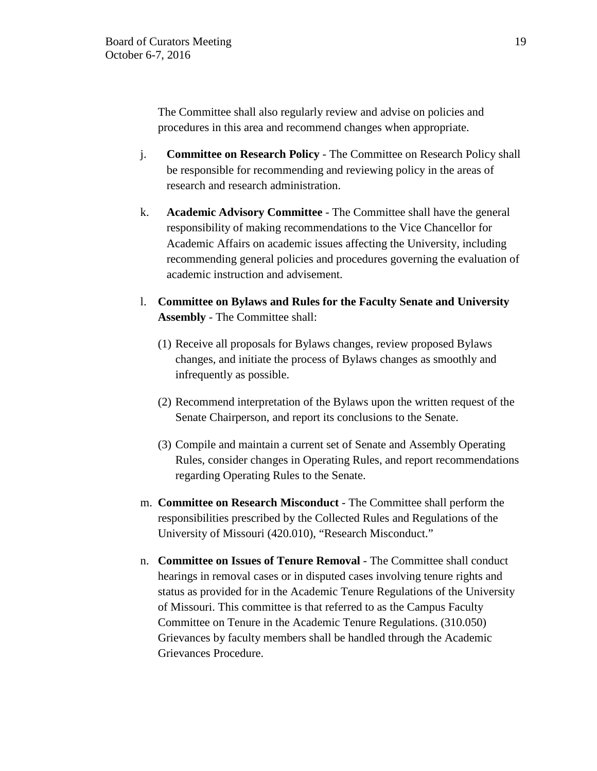The Committee shall also regularly review and advise on policies and procedures in this area and recommend changes when appropriate.

- j. **Committee on Research Policy**  The Committee on Research Policy shall be responsible for recommending and reviewing policy in the areas of research and research administration.
- k. **Academic Advisory Committee** The Committee shall have the general responsibility of making recommendations to the Vice Chancellor for Academic Affairs on academic issues affecting the University, including recommending general policies and procedures governing the evaluation of academic instruction and advisement.
- l. **Committee on Bylaws and Rules for the Faculty Senate and University Assembly** - The Committee shall:
	- (1) Receive all proposals for Bylaws changes, review proposed Bylaws changes, and initiate the process of Bylaws changes as smoothly and infrequently as possible.
	- (2) Recommend interpretation of the Bylaws upon the written request of the Senate Chairperson, and report its conclusions to the Senate.
	- (3) Compile and maintain a current set of Senate and Assembly Operating Rules, consider changes in Operating Rules, and report recommendations regarding Operating Rules to the Senate.
- m. **Committee on Research Misconduct** The Committee shall perform the responsibilities prescribed by the Collected Rules and Regulations of the University of Missouri (420.010), "Research Misconduct."
- n. **Committee on Issues of Tenure Removal** The Committee shall conduct hearings in removal cases or in disputed cases involving tenure rights and status as provided for in the Academic Tenure Regulations of the University of Missouri. This committee is that referred to as the Campus Faculty Committee on Tenure in the Academic Tenure Regulations. (310.050) Grievances by faculty members shall be handled through the Academic Grievances Procedure.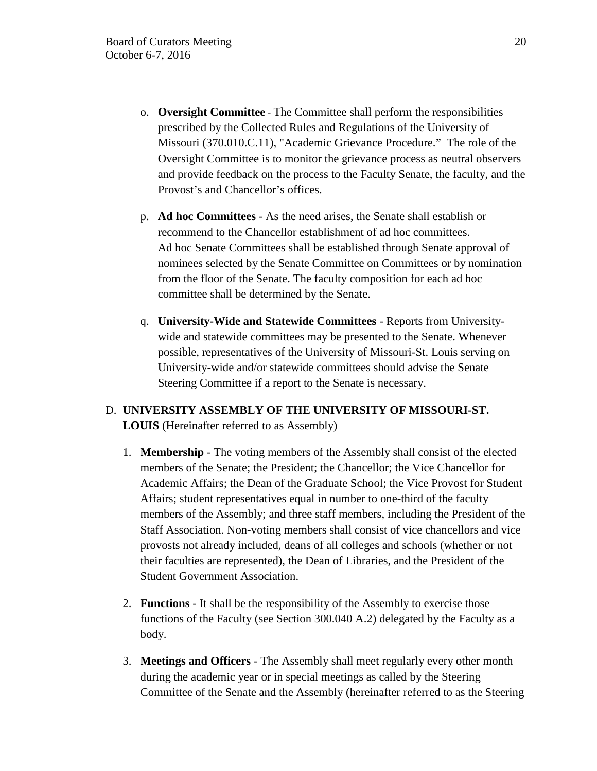- o. **Oversight Committee** The Committee shall perform the responsibilities prescribed by the Collected Rules and Regulations of the University of Missouri (370.010.C.11), "Academic Grievance Procedure." The role of the Oversight Committee is to monitor the grievance process as neutral observers and provide feedback on the process to the Faculty Senate, the faculty, and the Provost's and Chancellor's offices.
- p. **Ad hoc Committees** As the need arises, the Senate shall establish or recommend to the Chancellor establishment of ad hoc committees. Ad hoc Senate Committees shall be established through Senate approval of nominees selected by the Senate Committee on Committees or by nomination from the floor of the Senate. The faculty composition for each ad hoc committee shall be determined by the Senate.
- q. **University-Wide and Statewide Committees** Reports from Universitywide and statewide committees may be presented to the Senate. Whenever possible, representatives of the University of Missouri-St. Louis serving on University-wide and/or statewide committees should advise the Senate Steering Committee if a report to the Senate is necessary.

# D. **UNIVERSITY ASSEMBLY OF THE UNIVERSITY OF MISSOURI-ST. LOUIS** (Hereinafter referred to as Assembly)

- 1. **Membership** The voting members of the Assembly shall consist of the elected members of the Senate; the President; the Chancellor; the Vice Chancellor for Academic Affairs; the Dean of the Graduate School; the Vice Provost for Student Affairs; student representatives equal in number to one-third of the faculty members of the Assembly; and three staff members, including the President of the Staff Association. Non-voting members shall consist of vice chancellors and vice provosts not already included, deans of all colleges and schools (whether or not their faculties are represented), the Dean of Libraries, and the President of the Student Government Association.
- 2. **Functions** It shall be the responsibility of the Assembly to exercise those functions of the Faculty (see Section 300.040 A.2) delegated by the Faculty as a body.
- 3. **Meetings and Officers** The Assembly shall meet regularly every other month during the academic year or in special meetings as called by the Steering Committee of the Senate and the Assembly (hereinafter referred to as the Steering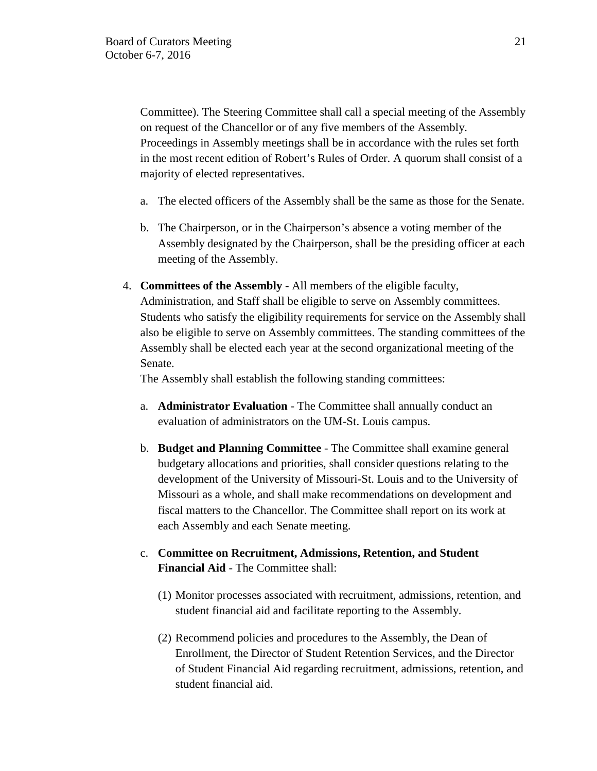Committee). The Steering Committee shall call a special meeting of the Assembly on request of the Chancellor or of any five members of the Assembly. Proceedings in Assembly meetings shall be in accordance with the rules set forth in the most recent edition of Robert's Rules of Order. A quorum shall consist of a majority of elected representatives.

- a. The elected officers of the Assembly shall be the same as those for the Senate.
- b. The Chairperson, or in the Chairperson's absence a voting member of the Assembly designated by the Chairperson, shall be the presiding officer at each meeting of the Assembly.
- 4. **Committees of the Assembly** All members of the eligible faculty, Administration, and Staff shall be eligible to serve on Assembly committees. Students who satisfy the eligibility requirements for service on the Assembly shall also be eligible to serve on Assembly committees. The standing committees of the Assembly shall be elected each year at the second organizational meeting of the Senate.

The Assembly shall establish the following standing committees:

- a. **Administrator Evaluation** The Committee shall annually conduct an evaluation of administrators on the UM-St. Louis campus.
- b. **Budget and Planning Committee** The Committee shall examine general budgetary allocations and priorities, shall consider questions relating to the development of the University of Missouri-St. Louis and to the University of Missouri as a whole, and shall make recommendations on development and fiscal matters to the Chancellor. The Committee shall report on its work at each Assembly and each Senate meeting.
- c. **Committee on Recruitment, Admissions, Retention, and Student Financial Aid** - The Committee shall:
	- (1) Monitor processes associated with recruitment, admissions, retention, and student financial aid and facilitate reporting to the Assembly.
	- (2) Recommend policies and procedures to the Assembly, the Dean of Enrollment, the Director of Student Retention Services, and the Director of Student Financial Aid regarding recruitment, admissions, retention, and student financial aid.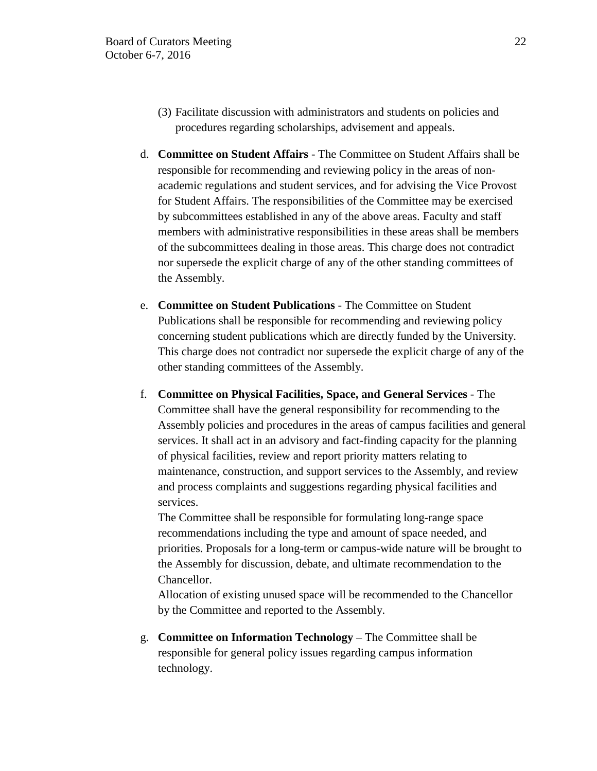- (3) Facilitate discussion with administrators and students on policies and procedures regarding scholarships, advisement and appeals.
- d. **Committee on Student Affairs** The Committee on Student Affairs shall be responsible for recommending and reviewing policy in the areas of nonacademic regulations and student services, and for advising the Vice Provost for Student Affairs. The responsibilities of the Committee may be exercised by subcommittees established in any of the above areas. Faculty and staff members with administrative responsibilities in these areas shall be members of the subcommittees dealing in those areas. This charge does not contradict nor supersede the explicit charge of any of the other standing committees of the Assembly.
- e. **Committee on Student Publications** The Committee on Student Publications shall be responsible for recommending and reviewing policy concerning student publications which are directly funded by the University. This charge does not contradict nor supersede the explicit charge of any of the other standing committees of the Assembly.
- f. **Committee on Physical Facilities, Space, and General Services** The Committee shall have the general responsibility for recommending to the Assembly policies and procedures in the areas of campus facilities and general services. It shall act in an advisory and fact-finding capacity for the planning of physical facilities, review and report priority matters relating to maintenance, construction, and support services to the Assembly, and review and process complaints and suggestions regarding physical facilities and services.

The Committee shall be responsible for formulating long-range space recommendations including the type and amount of space needed, and priorities. Proposals for a long-term or campus-wide nature will be brought to the Assembly for discussion, debate, and ultimate recommendation to the Chancellor.

Allocation of existing unused space will be recommended to the Chancellor by the Committee and reported to the Assembly.

g. **Committee on Information Technology** – The Committee shall be responsible for general policy issues regarding campus information technology.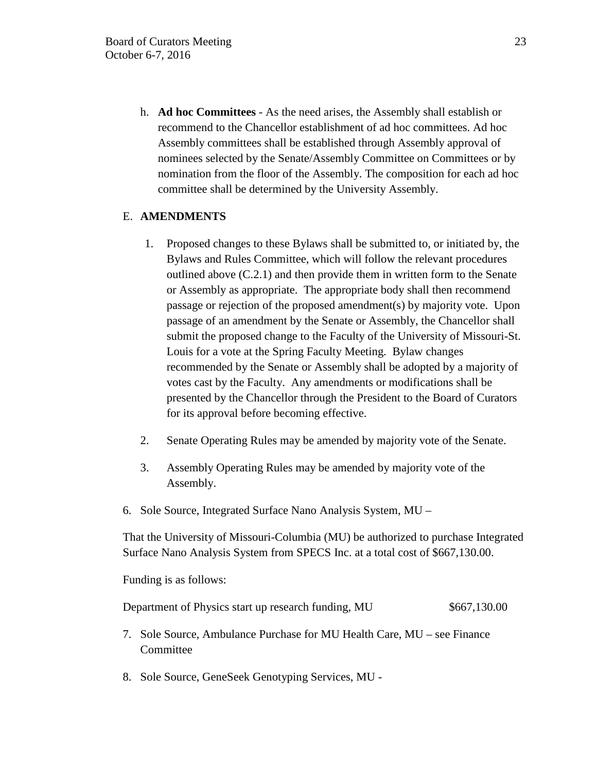h. **Ad hoc Committees** - As the need arises, the Assembly shall establish or recommend to the Chancellor establishment of ad hoc committees. Ad hoc Assembly committees shall be established through Assembly approval of nominees selected by the Senate/Assembly Committee on Committees or by nomination from the floor of the Assembly. The composition for each ad hoc committee shall be determined by the University Assembly.

# E. **AMENDMENTS**

- 1. Proposed changes to these Bylaws shall be submitted to, or initiated by, the Bylaws and Rules Committee, which will follow the relevant procedures outlined above (C.2.1) and then provide them in written form to the Senate or Assembly as appropriate. The appropriate body shall then recommend passage or rejection of the proposed amendment(s) by majority vote. Upon passage of an amendment by the Senate or Assembly, the Chancellor shall submit the proposed change to the Faculty of the University of Missouri-St. Louis for a vote at the Spring Faculty Meeting. Bylaw changes recommended by the Senate or Assembly shall be adopted by a majority of votes cast by the Faculty. Any amendments or modifications shall be presented by the Chancellor through the President to the Board of Curators for its approval before becoming effective.
- 2. Senate Operating Rules may be amended by majority vote of the Senate.
- 3. Assembly Operating Rules may be amended by majority vote of the Assembly.
- 6. Sole Source, Integrated Surface Nano Analysis System, MU –

That the University of Missouri-Columbia (MU) be authorized to purchase Integrated Surface Nano Analysis System from SPECS Inc. at a total cost of \$667,130.00.

Funding is as follows:

Department of Physics start up research funding, MU \$667,130.00

- 7. Sole Source, Ambulance Purchase for MU Health Care, MU see Finance Committee
- 8. Sole Source, GeneSeek Genotyping Services, MU -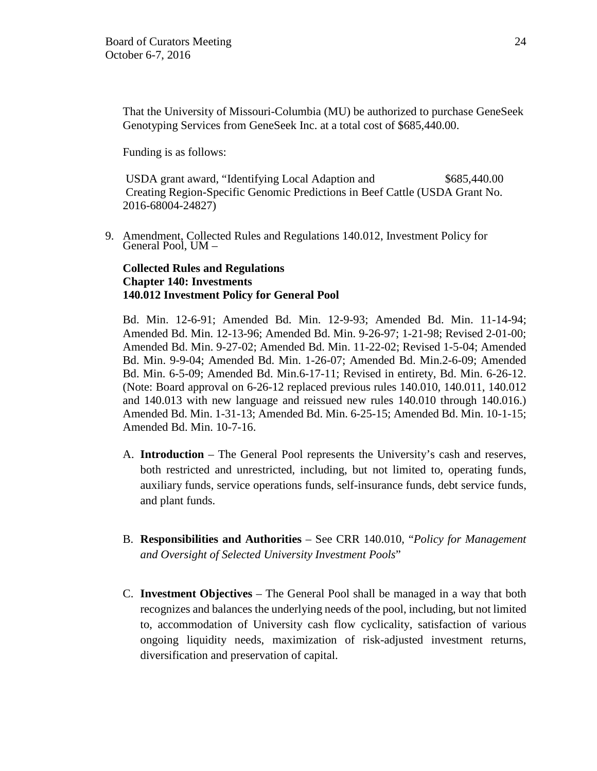That the University of Missouri-Columbia (MU) be authorized to purchase GeneSeek Genotyping Services from GeneSeek Inc. at a total cost of \$685,440.00.

Funding is as follows:

 USDA grant award, "Identifying Local Adaption and \$685,440.00 Creating Region-Specific Genomic Predictions in Beef Cattle (USDA Grant No. 2016-68004-24827)

9. Amendment, Collected Rules and Regulations 140.012, Investment Policy for General Pool, UM –

# **Collected Rules and Regulations Chapter 140: Investments 140.012 Investment Policy for General Pool**

Bd. Min. 12-6-91; Amended Bd. Min. 12-9-93; Amended Bd. Min. 11-14-94; Amended Bd. Min. 12-13-96; Amended Bd. Min. 9-26-97; 1-21-98; Revised 2-01-00; Amended Bd. Min. 9-27-02; Amended Bd. Min. 11-22-02; Revised 1-5-04; Amended Bd. Min. 9-9-04; Amended Bd. Min. 1-26-07; Amended Bd. Min.2-6-09; Amended Bd. Min. 6-5-09; Amended Bd. Min.6-17-11; Revised in entirety, Bd. Min. 6-26-12. (Note: Board approval on 6-26-12 replaced previous rules 140.010, 140.011, 140.012 and 140.013 with new language and reissued new rules 140.010 through 140.016.) Amended Bd. Min. 1-31-13; Amended Bd. Min. 6-25-15; Amended Bd. Min. 10-1-15; Amended Bd. Min. 10-7-16.

- A. **Introduction** The General Pool represents the University's cash and reserves, both restricted and unrestricted, including, but not limited to, operating funds, auxiliary funds, service operations funds, self-insurance funds, debt service funds, and plant funds.
- B. **Responsibilities and Authorities** See CRR 140.010, "*Policy for Management and Oversight of Selected University Investment Pools*"
- C. **Investment Objectives** The General Pool shall be managed in a way that both recognizes and balances the underlying needs of the pool, including, but not limited to, accommodation of University cash flow cyclicality, satisfaction of various ongoing liquidity needs, maximization of risk-adjusted investment returns, diversification and preservation of capital.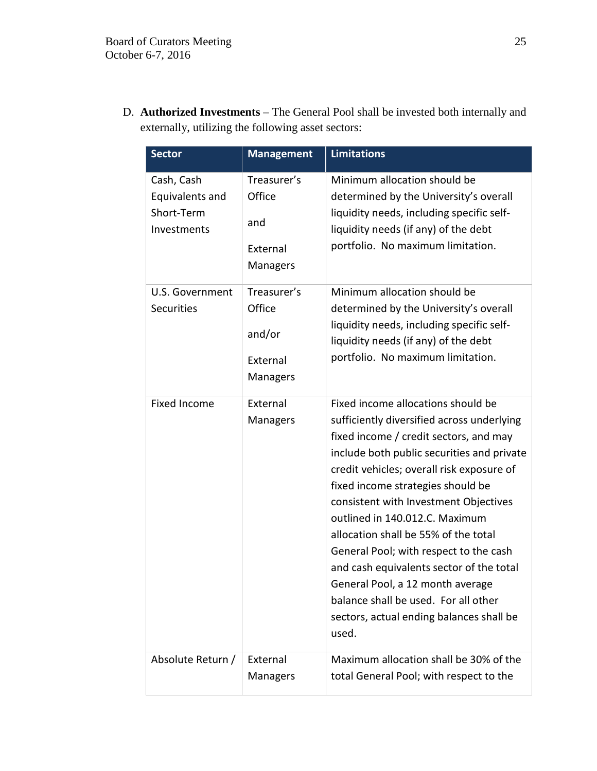D. **Authorized Investments** – The General Pool shall be invested both internally and externally, utilizing the following asset sectors:

| <b>Sector</b>                                              | <b>Management</b>                                       | <b>Limitations</b>                                                                                                                                                                                                                                                                                                                                                                                                                                                                                                                                                                                   |
|------------------------------------------------------------|---------------------------------------------------------|------------------------------------------------------------------------------------------------------------------------------------------------------------------------------------------------------------------------------------------------------------------------------------------------------------------------------------------------------------------------------------------------------------------------------------------------------------------------------------------------------------------------------------------------------------------------------------------------------|
| Cash, Cash<br>Equivalents and<br>Short-Term<br>Investments | Treasurer's<br>Office<br>and<br>External<br>Managers    | Minimum allocation should be<br>determined by the University's overall<br>liquidity needs, including specific self-<br>liquidity needs (if any) of the debt<br>portfolio. No maximum limitation.                                                                                                                                                                                                                                                                                                                                                                                                     |
| U.S. Government<br><b>Securities</b>                       | Treasurer's<br>Office<br>and/or<br>External<br>Managers | Minimum allocation should be<br>determined by the University's overall<br>liquidity needs, including specific self-<br>liquidity needs (if any) of the debt<br>portfolio. No maximum limitation.                                                                                                                                                                                                                                                                                                                                                                                                     |
| <b>Fixed Income</b>                                        | External<br>Managers                                    | Fixed income allocations should be<br>sufficiently diversified across underlying<br>fixed income / credit sectors, and may<br>include both public securities and private<br>credit vehicles; overall risk exposure of<br>fixed income strategies should be<br>consistent with Investment Objectives<br>outlined in 140.012.C. Maximum<br>allocation shall be 55% of the total<br>General Pool; with respect to the cash<br>and cash equivalents sector of the total<br>General Pool, a 12 month average<br>balance shall be used. For all other<br>sectors, actual ending balances shall be<br>used. |
| Absolute Return /                                          | External<br>Managers                                    | Maximum allocation shall be 30% of the<br>total General Pool; with respect to the                                                                                                                                                                                                                                                                                                                                                                                                                                                                                                                    |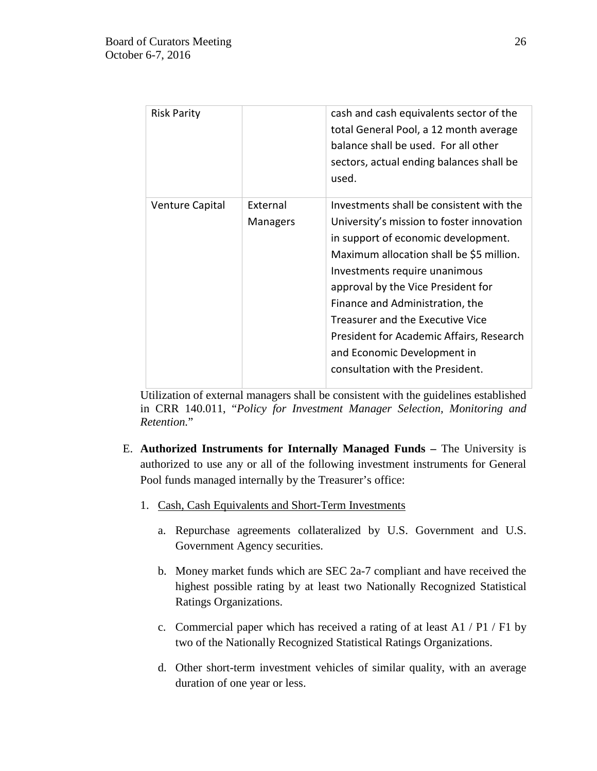| <b>Risk Parity</b>     |                             | cash and cash equivalents sector of the<br>total General Pool, a 12 month average<br>balance shall be used. For all other<br>sectors, actual ending balances shall be<br>used.                                                                                                                                                                                                                                                        |
|------------------------|-----------------------------|---------------------------------------------------------------------------------------------------------------------------------------------------------------------------------------------------------------------------------------------------------------------------------------------------------------------------------------------------------------------------------------------------------------------------------------|
| <b>Venture Capital</b> | External<br><b>Managers</b> | Investments shall be consistent with the<br>University's mission to foster innovation<br>in support of economic development.<br>Maximum allocation shall be \$5 million.<br>Investments require unanimous<br>approval by the Vice President for<br>Finance and Administration, the<br>Treasurer and the Executive Vice<br>President for Academic Affairs, Research<br>and Economic Development in<br>consultation with the President. |

Utilization of external managers shall be consistent with the guidelines established in CRR 140.011, "*Policy for Investment Manager Selection, Monitoring and Retention.*"

- E. **Authorized Instruments for Internally Managed Funds** The University is authorized to use any or all of the following investment instruments for General Pool funds managed internally by the Treasurer's office:
	- 1. Cash, Cash Equivalents and Short-Term Investments
		- a. Repurchase agreements collateralized by U.S. Government and U.S. Government Agency securities.
		- b. Money market funds which are SEC 2a-7 compliant and have received the highest possible rating by at least two Nationally Recognized Statistical Ratings Organizations.
		- c. Commercial paper which has received a rating of at least A1 / P1 / F1 by two of the Nationally Recognized Statistical Ratings Organizations.
		- d. Other short-term investment vehicles of similar quality, with an average duration of one year or less.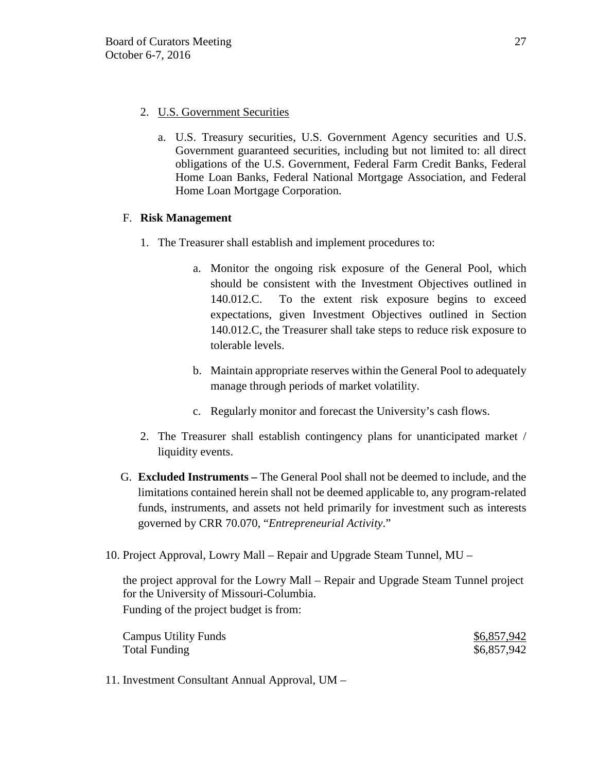- 2. U.S. Government Securities
	- a. U.S. Treasury securities, U.S. Government Agency securities and U.S. Government guaranteed securities, including but not limited to: all direct obligations of the U.S. Government, Federal Farm Credit Banks, Federal Home Loan Banks, Federal National Mortgage Association, and Federal Home Loan Mortgage Corporation.

# F. **Risk Management**

- 1. The Treasurer shall establish and implement procedures to:
	- a. Monitor the ongoing risk exposure of the General Pool, which should be consistent with the Investment Objectives outlined in 140.012.C. To the extent risk exposure begins to exceed expectations, given Investment Objectives outlined in Section 140.012.C, the Treasurer shall take steps to reduce risk exposure to tolerable levels.
	- b. Maintain appropriate reserves within the General Pool to adequately manage through periods of market volatility.
	- c. Regularly monitor and forecast the University's cash flows.
- 2. The Treasurer shall establish contingency plans for unanticipated market / liquidity events.
- G. **Excluded Instruments –** The General Pool shall not be deemed to include, and the limitations contained herein shall not be deemed applicable to, any program-related funds, instruments, and assets not held primarily for investment such as interests governed by CRR 70.070, "*Entrepreneurial Activity*."
- 10. Project Approval, Lowry Mall Repair and Upgrade Steam Tunnel, MU –

the project approval for the Lowry Mall – Repair and Upgrade Steam Tunnel project for the University of Missouri-Columbia. Funding of the project budget is from:

| <b>Campus Utility Funds</b> | \$6,857,942 |
|-----------------------------|-------------|
| <b>Total Funding</b>        | \$6,857,942 |

11. Investment Consultant Annual Approval, UM –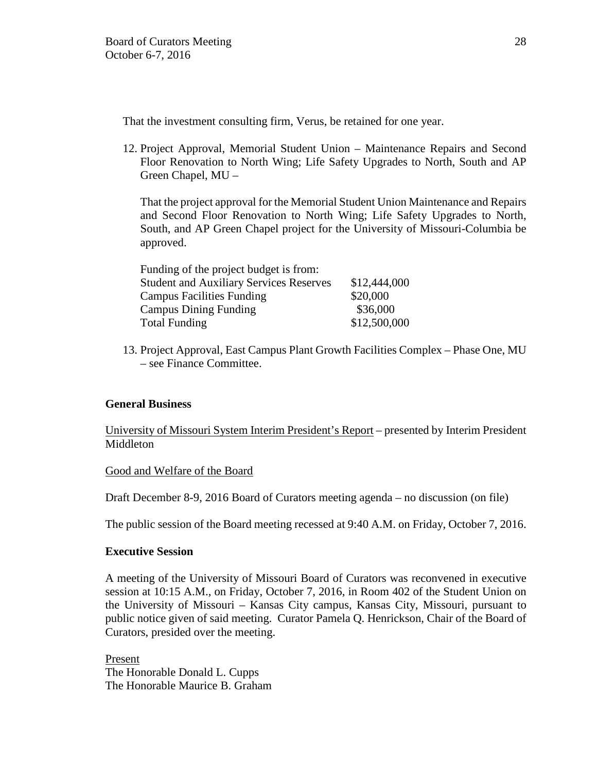That the investment consulting firm, Verus, be retained for one year.

12. Project Approval, Memorial Student Union – Maintenance Repairs and Second Floor Renovation to North Wing; Life Safety Upgrades to North, South and AP Green Chapel, MU –

That the project approval for the Memorial Student Union Maintenance and Repairs and Second Floor Renovation to North Wing; Life Safety Upgrades to North, South, and AP Green Chapel project for the University of Missouri-Columbia be approved.

| Funding of the project budget is from:         |              |
|------------------------------------------------|--------------|
| <b>Student and Auxiliary Services Reserves</b> | \$12,444,000 |
| <b>Campus Facilities Funding</b>               | \$20,000     |
| <b>Campus Dining Funding</b>                   | \$36,000     |
| <b>Total Funding</b>                           | \$12,500,000 |

13. Project Approval, East Campus Plant Growth Facilities Complex – Phase One, MU – see Finance Committee.

# **General Business**

University of Missouri System Interim President's Report – presented by Interim President Middleton

# Good and Welfare of the Board

Draft December 8-9, 2016 Board of Curators meeting agenda – no discussion (on file)

The public session of the Board meeting recessed at 9:40 A.M. on Friday, October 7, 2016.

# **Executive Session**

A meeting of the University of Missouri Board of Curators was reconvened in executive session at 10:15 A.M., on Friday, October 7, 2016, in Room 402 of the Student Union on the University of Missouri – Kansas City campus, Kansas City, Missouri, pursuant to public notice given of said meeting. Curator Pamela Q. Henrickson, Chair of the Board of Curators, presided over the meeting.

Present The Honorable Donald L. Cupps The Honorable Maurice B. Graham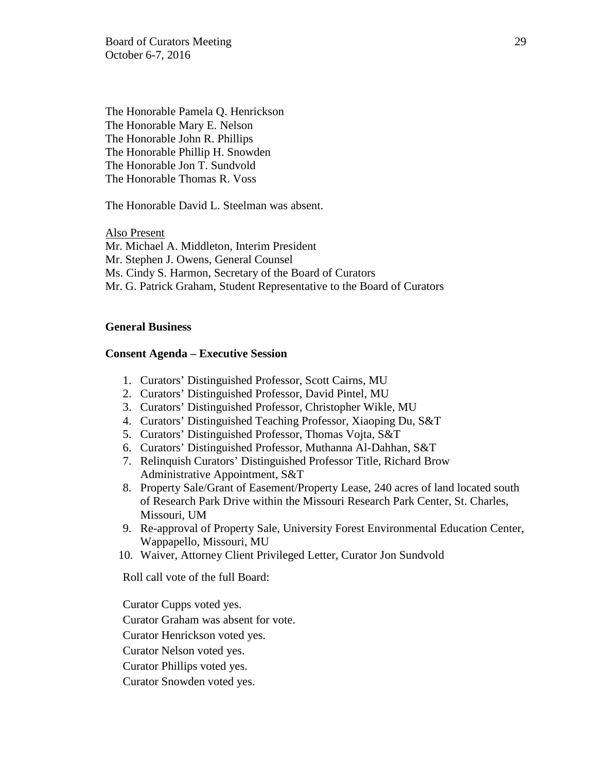Board of Curators Meeting 29 October 6-7, 2016

The Honorable Pamela Q. Henrickson The Honorable Mary E. Nelson The Honorable John R. Phillips The Honorable Phillip H. Snowden The Honorable Jon T. Sundvold The Honorable Thomas R. Voss

The Honorable David L. Steelman was absent.

Also Present Mr. Michael A. Middleton, Interim President Mr. Stephen J. Owens, General Counsel Ms. Cindy S. Harmon, Secretary of the Board of Curators Mr. G. Patrick Graham, Student Representative to the Board of Curators

## **General Business**

### **Consent Agenda – Executive Session**

- 1. Curators' Distinguished Professor, Scott Cairns, MU
- 2. Curators' Distinguished Professor, David Pintel, MU
- 3. Curators' Distinguished Professor, Christopher Wikle, MU
- 4. Curators' Distinguished Teaching Professor, Xiaoping Du, S&T
- 5. Curators' Distinguished Professor, Thomas Vojta, S&T
- 6. Curators' Distinguished Professor, Muthanna Al-Dahhan, S&T
- 7. Relinquish Curators' Distinguished Professor Title, Richard Brow Administrative Appointment, S&T
- 8. Property Sale/Grant of Easement/Property Lease, 240 acres of land located south of Research Park Drive within the Missouri Research Park Center, St. Charles, Missouri, UM
- 9. Re-approval of Property Sale, University Forest Environmental Education Center, Wappapello, Missouri, MU
- 10. Waiver, Attorney Client Privileged Letter, Curator Jon Sundvold

Roll call vote of the full Board:

Curator Cupps voted yes. Curator Graham was absent for vote. Curator Henrickson voted yes. Curator Nelson voted yes. Curator Phillips voted yes.

Curator Snowden voted yes.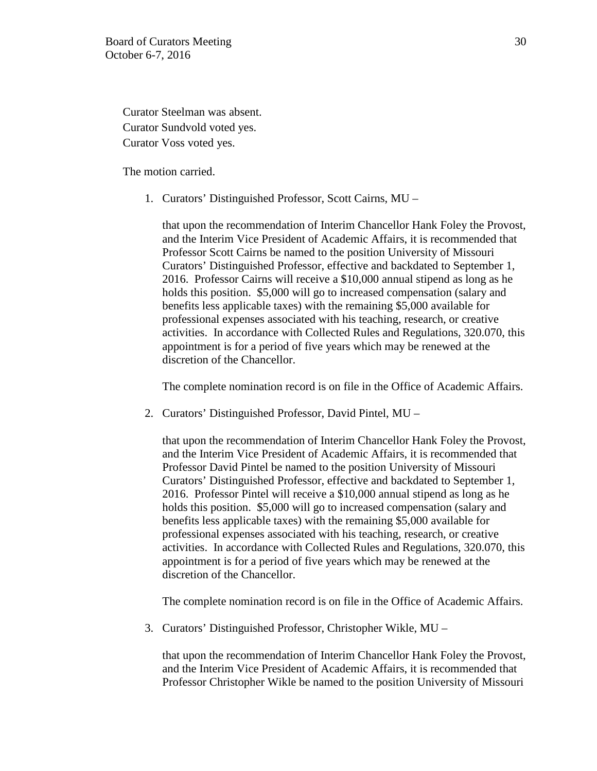Curator Steelman was absent. Curator Sundvold voted yes. Curator Voss voted yes.

The motion carried.

1. Curators' Distinguished Professor, Scott Cairns, MU –

that upon the recommendation of Interim Chancellor Hank Foley the Provost, and the Interim Vice President of Academic Affairs, it is recommended that Professor Scott Cairns be named to the position University of Missouri Curators' Distinguished Professor, effective and backdated to September 1, 2016. Professor Cairns will receive a \$10,000 annual stipend as long as he holds this position. \$5,000 will go to increased compensation (salary and benefits less applicable taxes) with the remaining \$5,000 available for professional expenses associated with his teaching, research, or creative activities. In accordance with Collected Rules and Regulations, 320.070, this appointment is for a period of five years which may be renewed at the discretion of the Chancellor.

The complete nomination record is on file in the Office of Academic Affairs.

2. Curators' Distinguished Professor, David Pintel, MU –

that upon the recommendation of Interim Chancellor Hank Foley the Provost, and the Interim Vice President of Academic Affairs, it is recommended that Professor David Pintel be named to the position University of Missouri Curators' Distinguished Professor, effective and backdated to September 1, 2016. Professor Pintel will receive a \$10,000 annual stipend as long as he holds this position. \$5,000 will go to increased compensation (salary and benefits less applicable taxes) with the remaining \$5,000 available for professional expenses associated with his teaching, research, or creative activities. In accordance with Collected Rules and Regulations, 320.070, this appointment is for a period of five years which may be renewed at the discretion of the Chancellor.

The complete nomination record is on file in the Office of Academic Affairs.

3. Curators' Distinguished Professor, Christopher Wikle, MU –

that upon the recommendation of Interim Chancellor Hank Foley the Provost, and the Interim Vice President of Academic Affairs, it is recommended that Professor Christopher Wikle be named to the position University of Missouri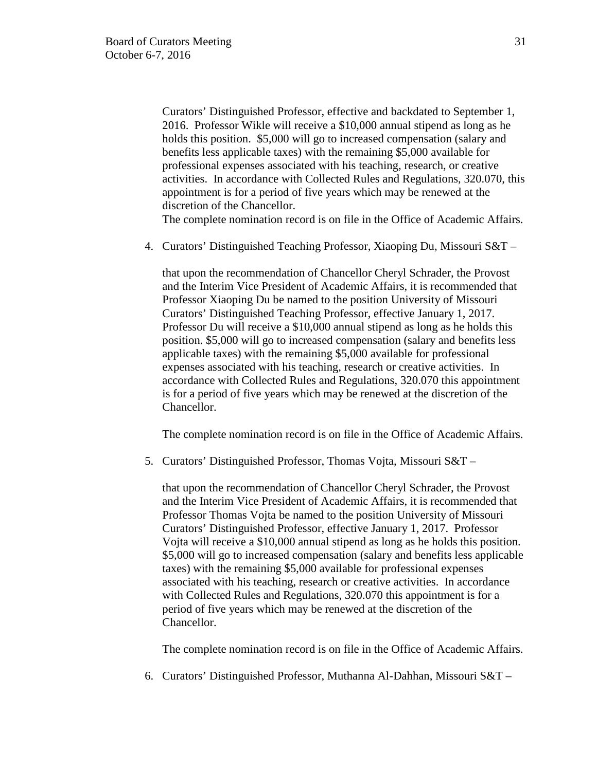Curators' Distinguished Professor, effective and backdated to September 1, 2016. Professor Wikle will receive a \$10,000 annual stipend as long as he holds this position. \$5,000 will go to increased compensation (salary and benefits less applicable taxes) with the remaining \$5,000 available for professional expenses associated with his teaching, research, or creative activities. In accordance with Collected Rules and Regulations, 320.070, this appointment is for a period of five years which may be renewed at the discretion of the Chancellor.

The complete nomination record is on file in the Office of Academic Affairs.

4. Curators' Distinguished Teaching Professor, Xiaoping Du, Missouri S&T –

that upon the recommendation of Chancellor Cheryl Schrader, the Provost and the Interim Vice President of Academic Affairs, it is recommended that Professor Xiaoping Du be named to the position University of Missouri Curators' Distinguished Teaching Professor, effective January 1, 2017. Professor Du will receive a \$10,000 annual stipend as long as he holds this position. \$5,000 will go to increased compensation (salary and benefits less applicable taxes) with the remaining \$5,000 available for professional expenses associated with his teaching, research or creative activities. In accordance with Collected Rules and Regulations, 320.070 this appointment is for a period of five years which may be renewed at the discretion of the Chancellor.

The complete nomination record is on file in the Office of Academic Affairs.

5. Curators' Distinguished Professor, Thomas Vojta, Missouri S&T –

that upon the recommendation of Chancellor Cheryl Schrader, the Provost and the Interim Vice President of Academic Affairs, it is recommended that Professor Thomas Vojta be named to the position University of Missouri Curators' Distinguished Professor, effective January 1, 2017. Professor Vojta will receive a \$10,000 annual stipend as long as he holds this position. \$5,000 will go to increased compensation (salary and benefits less applicable taxes) with the remaining \$5,000 available for professional expenses associated with his teaching, research or creative activities. In accordance with Collected Rules and Regulations, 320.070 this appointment is for a period of five years which may be renewed at the discretion of the Chancellor.

The complete nomination record is on file in the Office of Academic Affairs.

6. Curators' Distinguished Professor, Muthanna Al-Dahhan, Missouri S&T –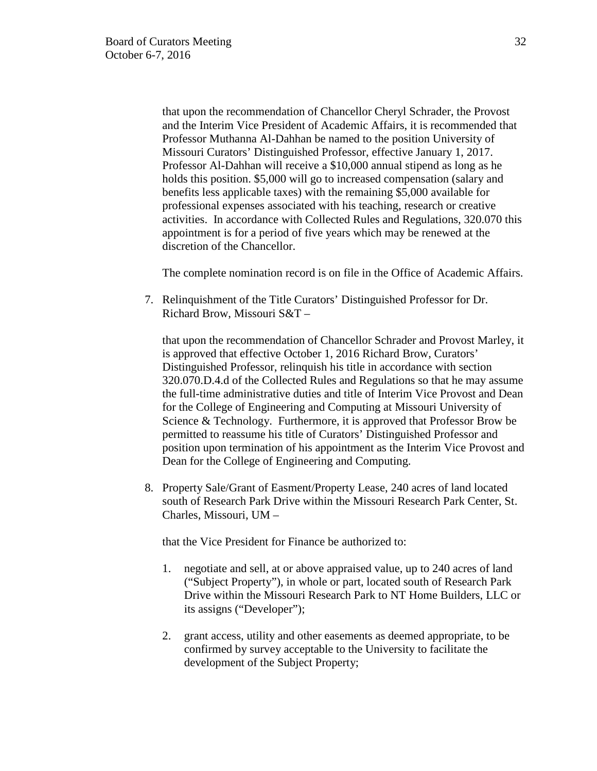that upon the recommendation of Chancellor Cheryl Schrader, the Provost and the Interim Vice President of Academic Affairs, it is recommended that Professor Muthanna Al-Dahhan be named to the position University of Missouri Curators' Distinguished Professor, effective January 1, 2017. Professor Al-Dahhan will receive a \$10,000 annual stipend as long as he holds this position. \$5,000 will go to increased compensation (salary and benefits less applicable taxes) with the remaining \$5,000 available for professional expenses associated with his teaching, research or creative activities. In accordance with Collected Rules and Regulations, 320.070 this appointment is for a period of five years which may be renewed at the discretion of the Chancellor.

The complete nomination record is on file in the Office of Academic Affairs.

7. Relinquishment of the Title Curators' Distinguished Professor for Dr. Richard Brow, Missouri S&T –

that upon the recommendation of Chancellor Schrader and Provost Marley, it is approved that effective October 1, 2016 Richard Brow, Curators' Distinguished Professor, relinquish his title in accordance with section 320.070.D.4.d of the Collected Rules and Regulations so that he may assume the full-time administrative duties and title of Interim Vice Provost and Dean for the College of Engineering and Computing at Missouri University of Science & Technology. Furthermore, it is approved that Professor Brow be permitted to reassume his title of Curators' Distinguished Professor and position upon termination of his appointment as the Interim Vice Provost and Dean for the College of Engineering and Computing.

8. Property Sale/Grant of Easment/Property Lease, 240 acres of land located south of Research Park Drive within the Missouri Research Park Center, St. Charles, Missouri, UM –

that the Vice President for Finance be authorized to:

- 1. negotiate and sell, at or above appraised value, up to 240 acres of land ("Subject Property"), in whole or part, located south of Research Park Drive within the Missouri Research Park to NT Home Builders, LLC or its assigns ("Developer");
- 2. grant access, utility and other easements as deemed appropriate, to be confirmed by survey acceptable to the University to facilitate the development of the Subject Property;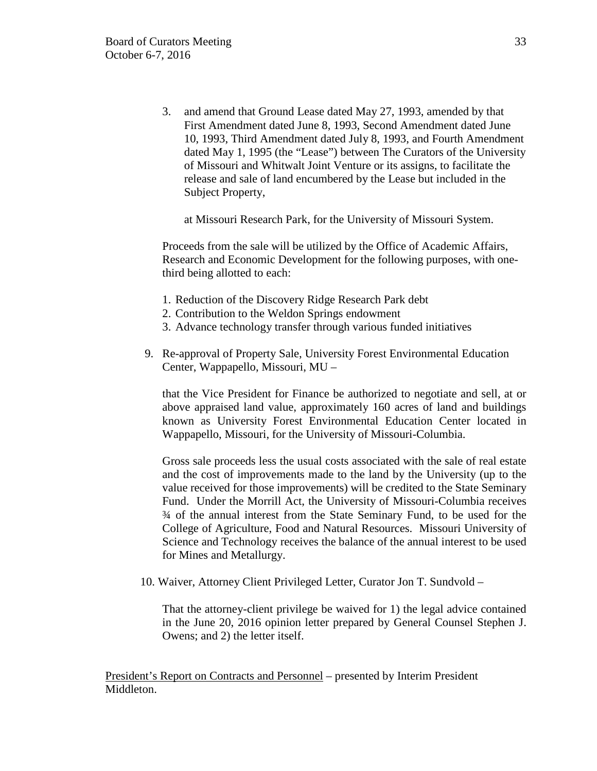3. and amend that Ground Lease dated May 27, 1993, amended by that First Amendment dated June 8, 1993, Second Amendment dated June 10, 1993, Third Amendment dated July 8, 1993, and Fourth Amendment dated May 1, 1995 (the "Lease") between The Curators of the University of Missouri and Whitwalt Joint Venture or its assigns, to facilitate the release and sale of land encumbered by the Lease but included in the Subject Property,

at Missouri Research Park, for the University of Missouri System.

Proceeds from the sale will be utilized by the Office of Academic Affairs, Research and Economic Development for the following purposes, with onethird being allotted to each:

- 1. Reduction of the Discovery Ridge Research Park debt
- 2. Contribution to the Weldon Springs endowment
- 3. Advance technology transfer through various funded initiatives
- 9. Re-approval of Property Sale, University Forest Environmental Education Center, Wappapello, Missouri, MU –

that the Vice President for Finance be authorized to negotiate and sell, at or above appraised land value, approximately 160 acres of land and buildings known as University Forest Environmental Education Center located in Wappapello, Missouri, for the University of Missouri-Columbia.

Gross sale proceeds less the usual costs associated with the sale of real estate and the cost of improvements made to the land by the University (up to the value received for those improvements) will be credited to the State Seminary Fund. Under the Morrill Act, the University of Missouri-Columbia receives ¾ of the annual interest from the State Seminary Fund, to be used for the College of Agriculture, Food and Natural Resources. Missouri University of Science and Technology receives the balance of the annual interest to be used for Mines and Metallurgy.

10. Waiver, Attorney Client Privileged Letter, Curator Jon T. Sundvold –

That the attorney-client privilege be waived for 1) the legal advice contained in the June 20, 2016 opinion letter prepared by General Counsel Stephen J. Owens; and 2) the letter itself.

President's Report on Contracts and Personnel – presented by Interim President Middleton.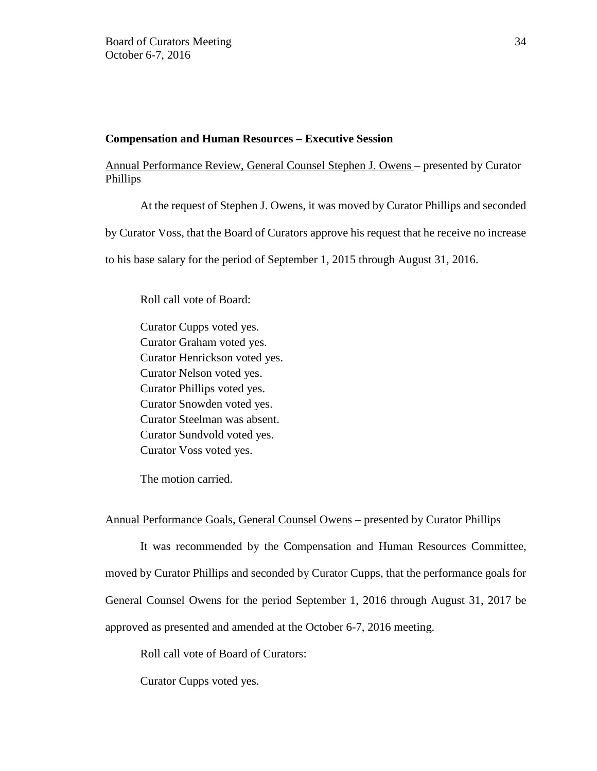## **Compensation and Human Resources – Executive Session**

# Annual Performance Review, General Counsel Stephen J. Owens – presented by Curator Phillips

At the request of Stephen J. Owens, it was moved by Curator Phillips and seconded

by Curator Voss, that the Board of Curators approve his request that he receive no increase

to his base salary for the period of September 1, 2015 through August 31, 2016.

Roll call vote of Board:

Curator Cupps voted yes. Curator Graham voted yes. Curator Henrickson voted yes. Curator Nelson voted yes. Curator Phillips voted yes. Curator Snowden voted yes. Curator Steelman was absent. Curator Sundvold voted yes. Curator Voss voted yes.

The motion carried.

# Annual Performance Goals, General Counsel Owens – presented by Curator Phillips

It was recommended by the Compensation and Human Resources Committee, moved by Curator Phillips and seconded by Curator Cupps, that the performance goals for General Counsel Owens for the period September 1, 2016 through August 31, 2017 be approved as presented and amended at the October 6-7, 2016 meeting.

Roll call vote of Board of Curators:

Curator Cupps voted yes.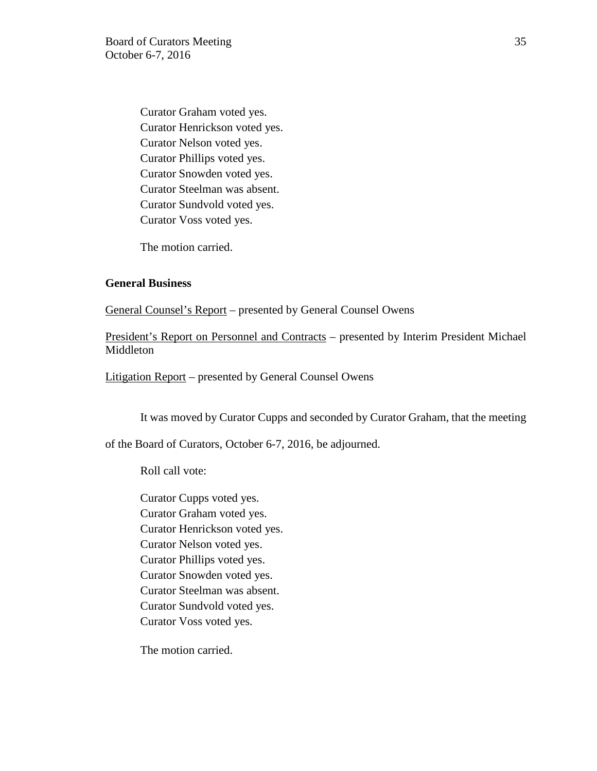Curator Graham voted yes. Curator Henrickson voted yes. Curator Nelson voted yes. Curator Phillips voted yes. Curator Snowden voted yes. Curator Steelman was absent. Curator Sundvold voted yes. Curator Voss voted yes.

The motion carried.

#### **General Business**

General Counsel's Report – presented by General Counsel Owens

President's Report on Personnel and Contracts – presented by Interim President Michael Middleton

Litigation Report – presented by General Counsel Owens

It was moved by Curator Cupps and seconded by Curator Graham, that the meeting

of the Board of Curators, October 6-7, 2016, be adjourned.

Roll call vote:

Curator Cupps voted yes. Curator Graham voted yes. Curator Henrickson voted yes. Curator Nelson voted yes. Curator Phillips voted yes. Curator Snowden voted yes. Curator Steelman was absent. Curator Sundvold voted yes. Curator Voss voted yes.

The motion carried.